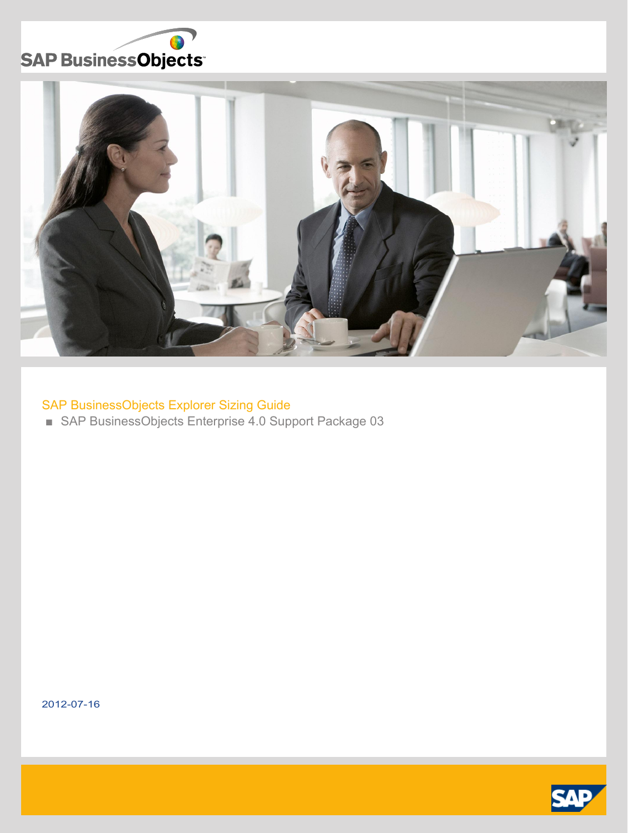



## SAP BusinessObjects Explorer Sizing Guide

■ SAP BusinessObjects Enterprise 4.0 Support Package 03

2012-07-16

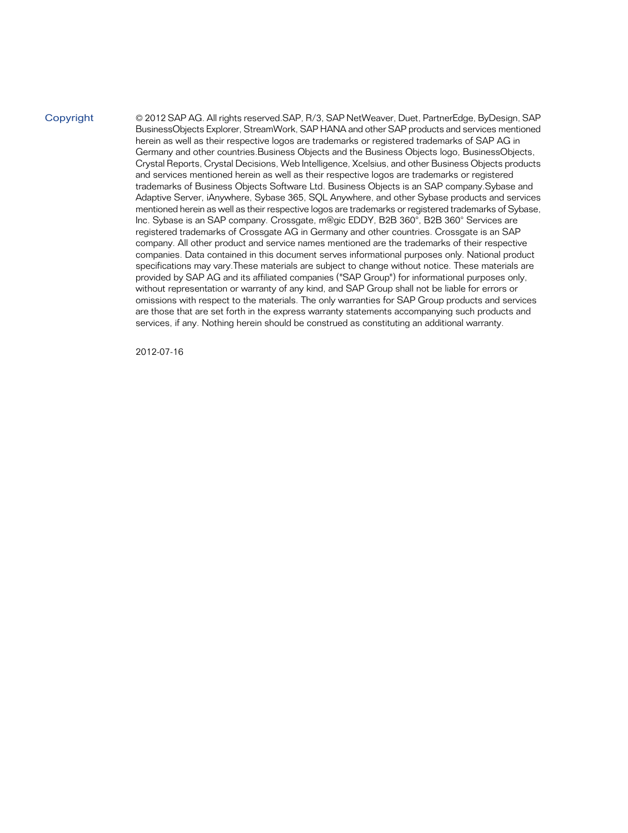Copyright

© 2012 SAP AG. All rights reserved.SAP, R/3, SAP NetWeaver, Duet, PartnerEdge, ByDesign, SAP BusinessObjects Explorer, StreamWork, SAP HANA and other SAP products and services mentioned herein as well as their respective logos are trademarks or registered trademarks of SAP AG in Germany and other countries.Business Objects and the Business Objects logo, BusinessObjects, Crystal Reports, Crystal Decisions, Web Intelligence, Xcelsius, and other Business Objects products and services mentioned herein as well as their respective logos are trademarks or registered trademarks of Business Objects Software Ltd. Business Objects is an SAP company.Sybase and Adaptive Server, iAnywhere, Sybase 365, SQL Anywhere, and other Sybase products and services mentioned herein as well as their respective logos are trademarks or registered trademarks of Sybase, Inc. Sybase is an SAP company. Crossgate, m@gic EDDY, B2B 360°, B2B 360° Services are registered trademarks of Crossgate AG in Germany and other countries. Crossgate is an SAP company. All other product and service names mentioned are the trademarks of their respective companies. Data contained in this document serves informational purposes only. National product specifications may vary.These materials are subject to change without notice. These materials are provided by SAP AG and its affiliated companies ("SAP Group") for informational purposes only, without representation or warranty of any kind, and SAP Group shall not be liable for errors or omissions with respect to the materials. The only warranties for SAP Group products and services are those that are set forth in the express warranty statements accompanying such products and services, if any. Nothing herein should be construed as constituting an additional warranty.

2012-07-16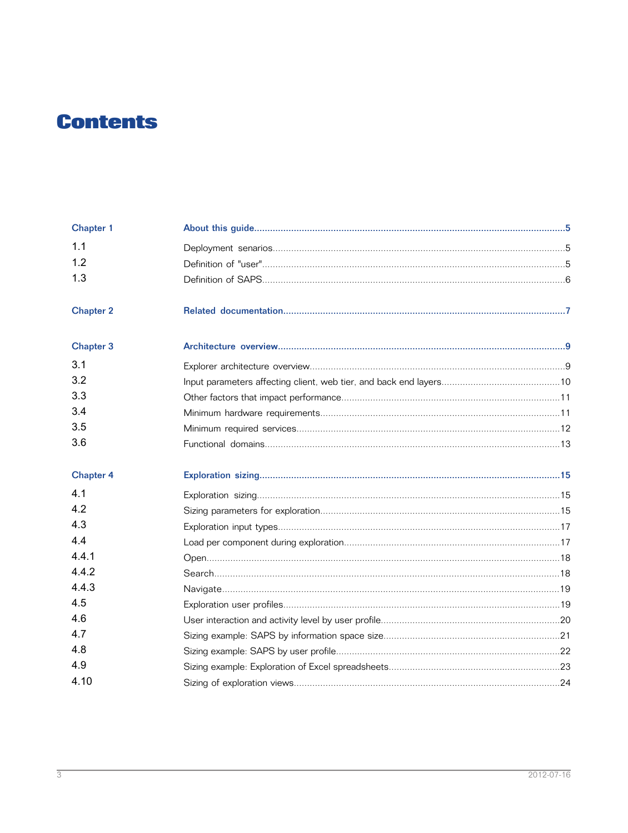## **Contents**

| <b>Chapter 1</b> |  |
|------------------|--|
| 1.1              |  |
| 1.2              |  |
| 1.3              |  |
| <b>Chapter 2</b> |  |
| <b>Chapter 3</b> |  |
| 3.1              |  |
| 3.2              |  |
| 3.3              |  |
| 3.4              |  |
| 3.5              |  |
| 3.6              |  |
| <b>Chapter 4</b> |  |
| 4.1              |  |
| 4.2              |  |
| 4.3              |  |
| 4.4              |  |
| 4.4.1            |  |
| 4.4.2            |  |
| 4.4.3            |  |
| 4.5              |  |
| 4.6              |  |
| 4.7              |  |
| 4.8              |  |
| 4.9              |  |
| 4.10             |  |
|                  |  |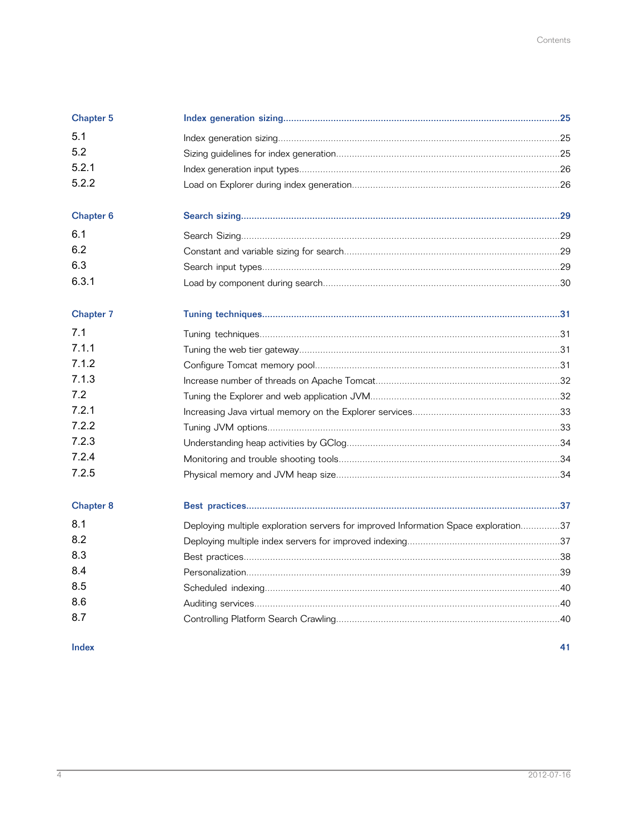| <b>Chapter 5</b> |                                                                                     |  |
|------------------|-------------------------------------------------------------------------------------|--|
| 5.1              |                                                                                     |  |
| 5.2              |                                                                                     |  |
| 5.2.1            |                                                                                     |  |
| 5.2.2            |                                                                                     |  |
| <b>Chapter 6</b> |                                                                                     |  |
| 6.1              |                                                                                     |  |
| 6.2              |                                                                                     |  |
| 6.3              |                                                                                     |  |
| 6.3.1            |                                                                                     |  |
| <b>Chapter 7</b> |                                                                                     |  |
| 7.1              |                                                                                     |  |
| 7.1.1            |                                                                                     |  |
| 7.1.2            |                                                                                     |  |
| 7.1.3            |                                                                                     |  |
| 7.2              |                                                                                     |  |
| 7.2.1            |                                                                                     |  |
| 7.2.2            |                                                                                     |  |
| 7.2.3            |                                                                                     |  |
| 7.2.4            |                                                                                     |  |
| 7.2.5            |                                                                                     |  |
| <b>Chapter 8</b> |                                                                                     |  |
| 8.1              | Deploying multiple exploration servers for improved Information Space exploration37 |  |
| 8.2              |                                                                                     |  |
| 8.3              |                                                                                     |  |
| 8.4              |                                                                                     |  |
| 8.5              |                                                                                     |  |
| 8.6              |                                                                                     |  |
| 8.7              |                                                                                     |  |

#### Index

41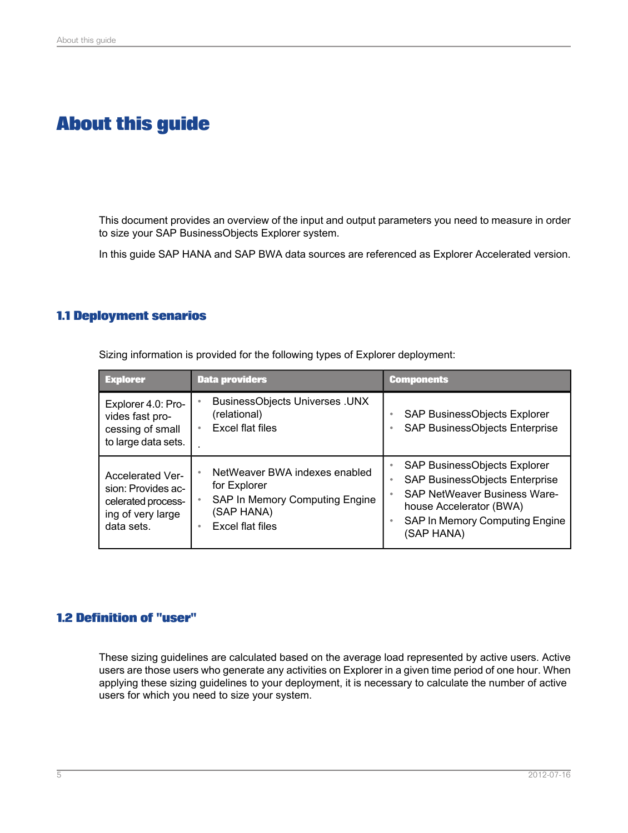## **About this guide**

<span id="page-4-0"></span>This document provides an overview of the input and output parameters you need to measure in order to size your SAP BusinessObjects Explorer system.

In this guide SAP HANA and SAP BWA data sources are referenced as Explorer Accelerated version.

#### <span id="page-4-1"></span>**1.1 Deployment senarios**

| <b>Explorer</b>                                                                                        | <b>Data providers</b>                                                                                             | <b>Components</b>                                                                                                                                                                          |
|--------------------------------------------------------------------------------------------------------|-------------------------------------------------------------------------------------------------------------------|--------------------------------------------------------------------------------------------------------------------------------------------------------------------------------------------|
| Explorer 4.0: Pro-<br>vides fast pro-<br>cessing of small<br>to large data sets.                       | <b>BusinessObjects Universes .UNX</b><br>(relational)<br>Excel flat files                                         | SAP BusinessObjects Explorer<br>SAP BusinessObjects Enterprise<br>۰                                                                                                                        |
| <b>Accelerated Ver-</b><br>sion: Provides ac-<br>celerated process-<br>ing of very large<br>data sets. | NetWeaver BWA indexes enabled<br>for Explorer<br>SAP In Memory Computing Engine<br>(SAP HANA)<br>Excel flat files | SAP BusinessObjects Explorer<br>SAP BusinessObjects Enterprise<br>٠<br><b>SAP NetWeaver Business Ware-</b><br>house Accelerator (BWA)<br>SAP In Memory Computing Engine<br>٠<br>(SAP HANA) |

Sizing information is provided for the following types of Explorer deployment:

#### <span id="page-4-2"></span>**1.2 Definition of "user"**

These sizing guidelines are calculated based on the average load represented by active users. Active users are those users who generate any activities on Explorer in a given time period of one hour. When applying these sizing guidelines to your deployment, it is necessary to calculate the number of active users for which you need to size your system.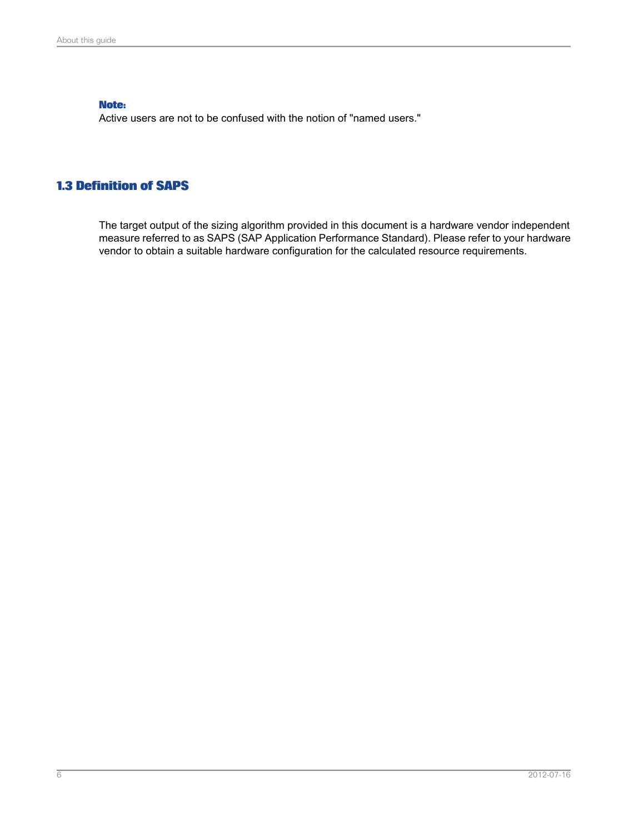#### **Note:**

Active users are not to be confused with the notion of "named users."

## <span id="page-5-0"></span>**1.3 Definition of SAPS**

The target output of the sizing algorithm provided in this document is a hardware vendor independent measure referred to as SAPS (SAP Application Performance Standard). Please refer to your hardware vendor to obtain a suitable hardware configuration for the calculated resource requirements.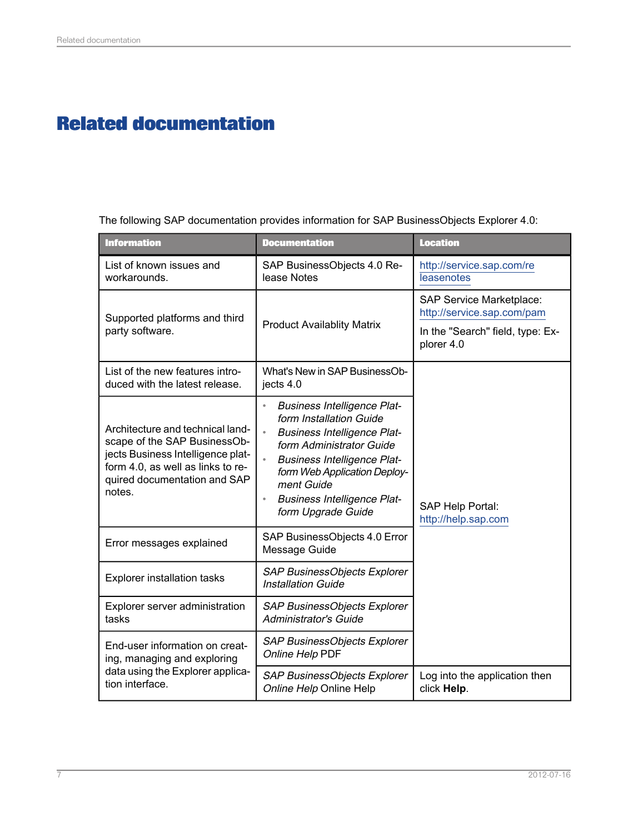# **Related documentation**

<span id="page-6-1"></span><span id="page-6-0"></span>The following SAP documentation provides information for SAP BusinessObjects Explorer 4.0:

| <b>Information</b>                                                                                                                                                                   | <b>Documentation</b>                                                                                                                                                                                                                                                                                                              | <b>Location</b>                                               |
|--------------------------------------------------------------------------------------------------------------------------------------------------------------------------------------|-----------------------------------------------------------------------------------------------------------------------------------------------------------------------------------------------------------------------------------------------------------------------------------------------------------------------------------|---------------------------------------------------------------|
| List of known issues and<br>workarounds.                                                                                                                                             | SAP BusinessObjects 4.0 Re-<br>lease Notes                                                                                                                                                                                                                                                                                        | http://service.sap.com/re<br>leasenotes                       |
| Supported platforms and third                                                                                                                                                        |                                                                                                                                                                                                                                                                                                                                   | <b>SAP Service Marketplace:</b><br>http://service.sap.com/pam |
| party software.                                                                                                                                                                      | <b>Product Availablity Matrix</b>                                                                                                                                                                                                                                                                                                 | In the "Search" field, type: Ex-<br>plorer 4.0                |
| List of the new features intro-<br>duced with the latest release.                                                                                                                    | What's New in SAP BusinessOb-<br>jects 4.0                                                                                                                                                                                                                                                                                        |                                                               |
| Architecture and technical land-<br>scape of the SAP BusinessOb-<br>jects Business Intelligence plat-<br>form 4.0, as well as links to re-<br>quired documentation and SAP<br>notes. | <b>Business Intelligence Plat-</b><br>$\bullet$<br>form Installation Guide<br>$\bullet$<br><b>Business Intelligence Plat-</b><br>form Administrator Guide<br><b>Business Intelligence Plat-</b><br>$\bullet$<br>form Web Application Deploy-<br>ment Guide<br><b>Business Intelligence Plat-</b><br>$\circ$<br>form Upgrade Guide | SAP Help Portal:<br>http://help.sap.com                       |
| Error messages explained                                                                                                                                                             | SAP BusinessObjects 4.0 Error<br>Message Guide                                                                                                                                                                                                                                                                                    |                                                               |
| <b>Explorer installation tasks</b>                                                                                                                                                   | SAP BusinessObjects Explorer<br>Installation Guide                                                                                                                                                                                                                                                                                |                                                               |
| Explorer server administration<br>tasks                                                                                                                                              | SAP BusinessObjects Explorer<br><b>Administrator's Guide</b>                                                                                                                                                                                                                                                                      |                                                               |
| End-user information on creat-<br>ing, managing and exploring                                                                                                                        | SAP BusinessObjects Explorer<br>Online Help PDF                                                                                                                                                                                                                                                                                   |                                                               |
| data using the Explorer applica-<br>tion interface.                                                                                                                                  | SAP BusinessObjects Explorer<br>Online Help Online Help                                                                                                                                                                                                                                                                           | Log into the application then<br>click Help.                  |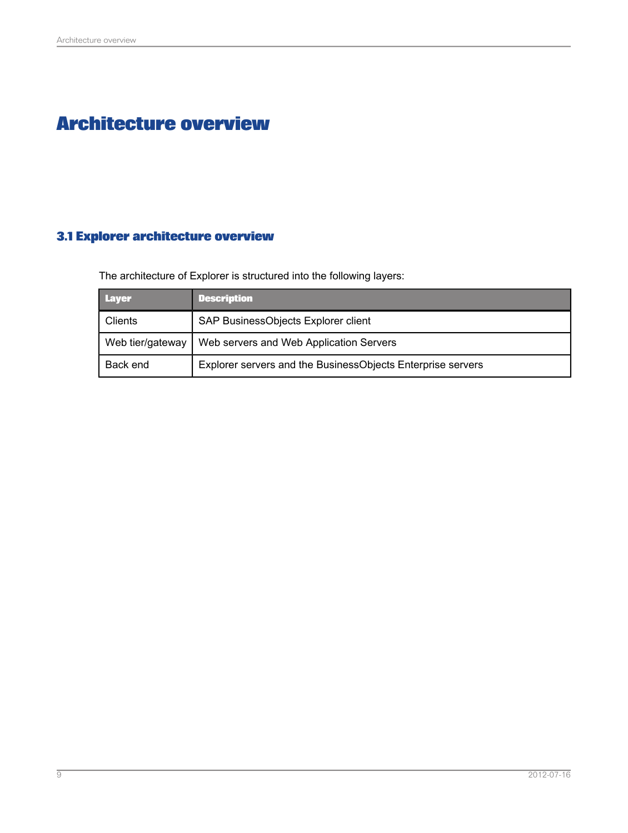# **Architecture overview**

## <span id="page-8-1"></span><span id="page-8-0"></span>**3.1 Explorer architecture overview**

The architecture of Explorer is structured into the following layers:

| <b>Layer</b>     | <b>Description</b>                                          |
|------------------|-------------------------------------------------------------|
| Clients          | SAP BusinessObjects Explorer client                         |
| Web tier/gateway | Web servers and Web Application Servers                     |
| Back end         | Explorer servers and the BusinessObjects Enterprise servers |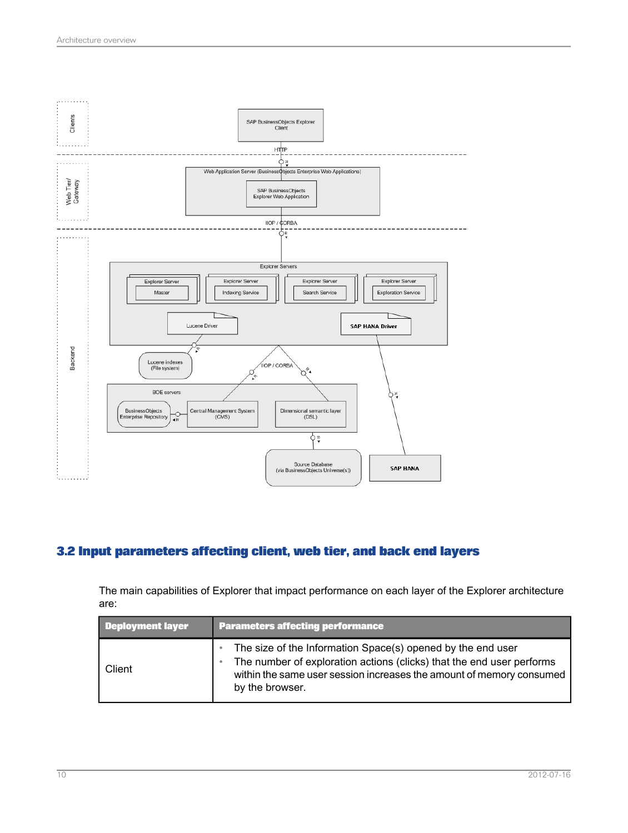

## <span id="page-9-0"></span>**3.2 Input parameters affecting client, web tier, and back end layers**

The main capabilities of Explorer that impact performance on each layer of the Explorer architecture are:

| <b>Deployment layer</b> | <b>Parameters affecting performance</b>                                                                                                                                                                                         |  |
|-------------------------|---------------------------------------------------------------------------------------------------------------------------------------------------------------------------------------------------------------------------------|--|
| Client                  | The size of the Information Space(s) opened by the end user<br>The number of exploration actions (clicks) that the end user performs<br>within the same user session increases the amount of memory consumed<br>by the browser. |  |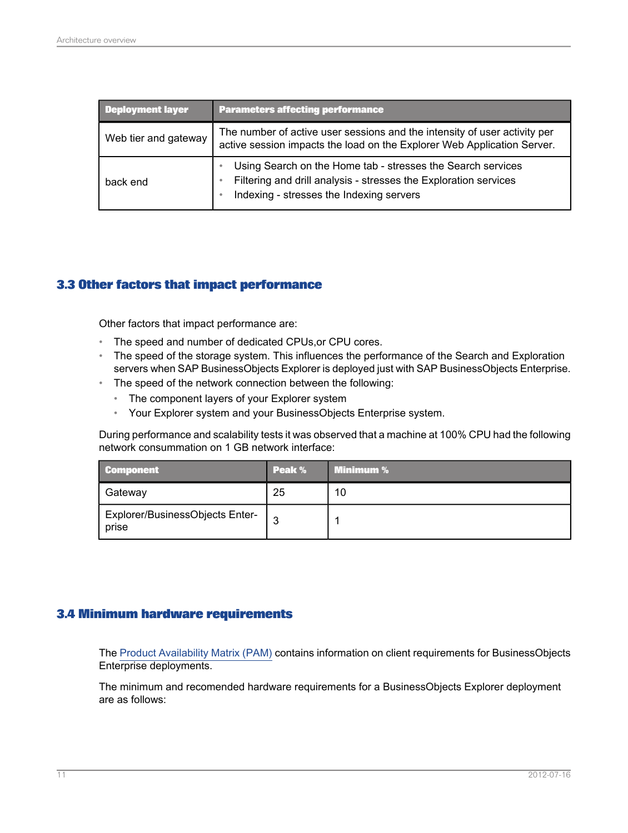| <b>Deployment layer</b> | <b>Parameters affecting performance</b>                                                                                                                                     |  |
|-------------------------|-----------------------------------------------------------------------------------------------------------------------------------------------------------------------------|--|
| Web tier and gateway    | The number of active user sessions and the intensity of user activity per<br>active session impacts the load on the Explorer Web Application Server.                        |  |
| back end                | Using Search on the Home tab - stresses the Search services<br>Filtering and drill analysis - stresses the Exploration services<br>Indexing - stresses the Indexing servers |  |

## <span id="page-10-0"></span>**3.3 Other factors that impact performance**

Other factors that impact performance are:

- The speed and number of dedicated CPUs,or CPU cores.
- The speed of the storage system. This influences the performance of the Search and Exploration servers when SAP BusinessObjects Explorer is deployed just with SAP BusinessObjects Enterprise.
- The speed of the network connection between the following:
	- The component layers of your Explorer system
	- Your Explorer system and your BusinessObjects Enterprise system.

During performance and scalability tests it was observed that a machine at 100% CPU had the following network consummation on 1 GB network interface:

| <b>Component</b>                         | Peak % | Minimum % |
|------------------------------------------|--------|-----------|
| Gateway                                  | 25     | 10        |
| Explorer/BusinessObjects Enter-<br>prise | ◠      |           |

#### <span id="page-10-1"></span>**3.4 Minimum hardware requirements**

The Product [Availability](http://www.sdn.sap.com/irj/scn/index?rid=/library/uuid/40b3b845-11e8-2d10-7a85-ac9116382e1c) Matrix (PAM) contains information on client requirements for BusinessObjects Enterprise deployments.

The minimum and recomended hardware requirements for a BusinessObjects Explorer deployment are as follows: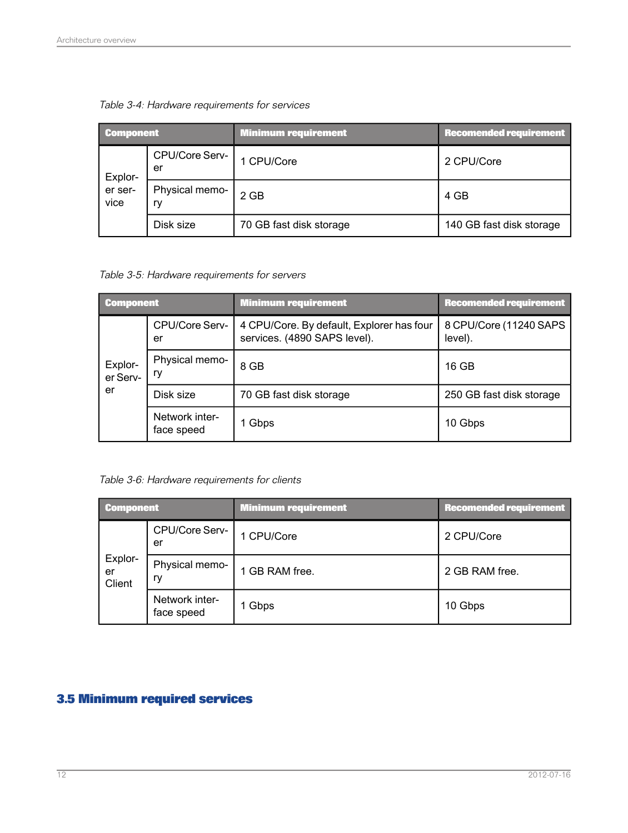| <b>Component</b>                       |                | <b>Minimum requirement</b> | <b>Recomended requirement</b> |
|----------------------------------------|----------------|----------------------------|-------------------------------|
| er<br>Explor-<br>er ser-<br>vice<br>rv | CPU/Core Serv- | 1 CPU/Core                 | 2 CPU/Core                    |
|                                        | Physical memo- | $2$ GB                     | 4 GB                          |
|                                        | Disk size      | 70 GB fast disk storage    | 140 GB fast disk storage      |

Table 3-4: Hardware requirements for services

Table 3-5: Hardware requirements for servers

| <b>Component</b>    |                              | <b>Minimum requirement</b>                                                | <b>Recomended requirement</b>     |
|---------------------|------------------------------|---------------------------------------------------------------------------|-----------------------------------|
| Explor-<br>er Serv- | CPU/Core Serv-<br>er         | 4 CPU/Core. By default, Explorer has four<br>services. (4890 SAPS level). | 8 CPU/Core (11240 SAPS<br>level). |
|                     | Physical memo-<br>rv         | 8 GB                                                                      | 16 GB                             |
| er                  | Disk size                    | 70 GB fast disk storage                                                   | 250 GB fast disk storage          |
|                     | Network inter-<br>face speed | 1 Gbps                                                                    | 10 Gbps                           |

Table 3-6: Hardware requirements for clients

| Component               |                              | <b>Minimum requirement</b> | <b>Recomended requirement</b> |
|-------------------------|------------------------------|----------------------------|-------------------------------|
|                         | CPU/Core Serv-<br>er         | 1 CPU/Core                 | 2 CPU/Core                    |
| Explor-<br>er<br>Client | Physical memo-<br>ry         | 1 GB RAM free.             | 2 GB RAM free.                |
|                         | Network inter-<br>face speed | 1 Gbps                     | 10 Gbps                       |

## <span id="page-11-0"></span>**3.5 Minimum required services**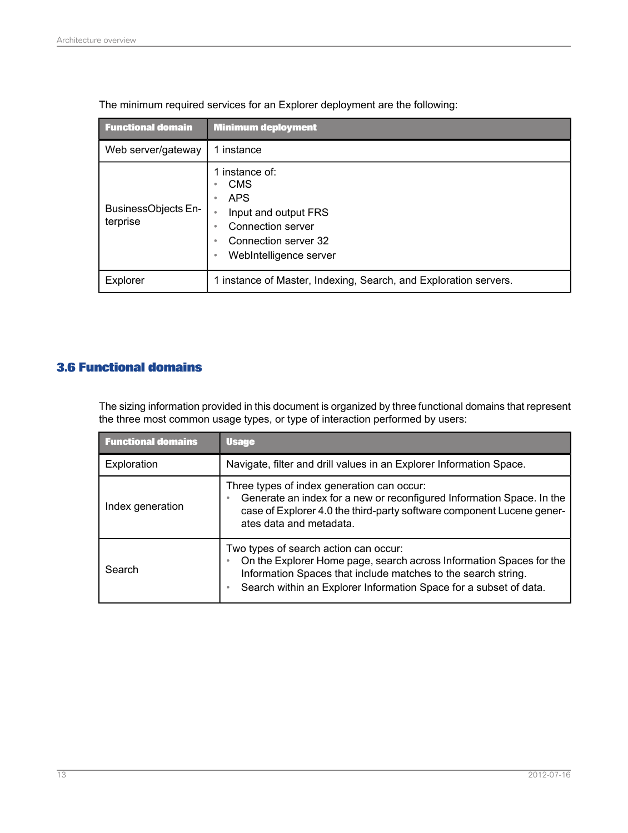| <b>Functional domain</b>               | <b>Minimum deployment</b>                                                                                                                                                     |
|----------------------------------------|-------------------------------------------------------------------------------------------------------------------------------------------------------------------------------|
| Web server/gateway                     | 1 instance                                                                                                                                                                    |
| <b>BusinessObjects En-</b><br>terprise | instance of:<br><b>CMS</b><br>۰<br><b>APS</b><br>۰<br>Input and output FRS<br>$\bullet$<br>Connection server<br>٠<br>Connection server 32<br>٠<br>WebIntelligence server<br>٠ |
| Explorer                               | 1 instance of Master, Indexing, Search, and Exploration servers.                                                                                                              |

The minimum required services for an Explorer deployment are the following:

## <span id="page-12-0"></span>**3.6 Functional domains**

The sizing information provided in this document is organized by three functional domains that represent the three most common usage types, or type of interaction performed by users:

| <b>Functional domains</b> | <b>Usage</b>                                                                                                                                                                                                                                       |
|---------------------------|----------------------------------------------------------------------------------------------------------------------------------------------------------------------------------------------------------------------------------------------------|
| Exploration               | Navigate, filter and drill values in an Explorer Information Space.                                                                                                                                                                                |
| Index generation          | Three types of index generation can occur:<br>Generate an index for a new or reconfigured Information Space. In the<br>case of Explorer 4.0 the third-party software component Lucene gener-<br>ates data and metadata.                            |
| Search                    | Two types of search action can occur:<br>On the Explorer Home page, search across Information Spaces for the<br>Information Spaces that include matches to the search string.<br>Search within an Explorer Information Space for a subset of data. |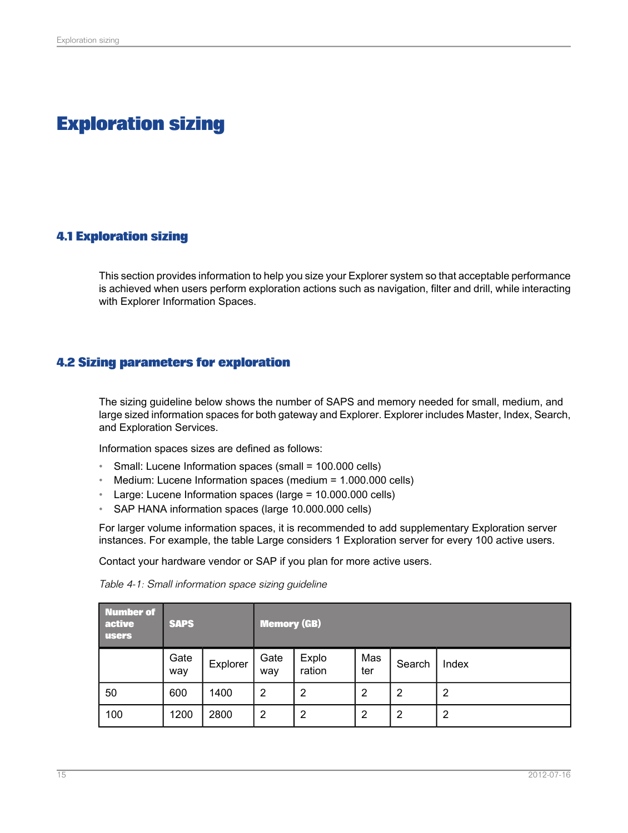# **Exploration sizing**

## <span id="page-14-1"></span><span id="page-14-0"></span>**4.1 Exploration sizing**

This section provides information to help you size your Explorer system so that acceptable performance is achieved when users perform exploration actions such as navigation, filter and drill, while interacting with Explorer Information Spaces.

## <span id="page-14-2"></span>**4.2 Sizing parameters for exploration**

The sizing guideline below shows the number of SAPS and memory needed for small, medium, and large sized information spaces for both gateway and Explorer. Explorer includes Master, Index, Search, and Exploration Services.

Information spaces sizes are defined as follows:

- Small: Lucene Information spaces (small = 100.000 cells)
- Medium: Lucene Information spaces (medium = 1.000.000 cells)
- Large: Lucene Information spaces (large = 10.000.000 cells)
- SAP HANA information spaces (large 10.000.000 cells)

For larger volume information spaces, it is recommended to add supplementary Exploration server instances. For example, the table Large considers 1 Exploration server for every 100 active users.

Contact your hardware vendor or SAP if you plan for more active users.

| <b>Number of</b><br>active<br><b>users</b> | <b>SAPS</b> |          | <b>Memory (GB)</b> |                 |                |                |       |  |
|--------------------------------------------|-------------|----------|--------------------|-----------------|----------------|----------------|-------|--|
|                                            | Gate<br>way | Explorer | Gate<br>way        | Explo<br>ration | Mas<br>ter     | Search         | Index |  |
| 50                                         | 600         | 1400     | $\overline{2}$     | $\overline{2}$  | $\overline{2}$ | $\overline{2}$ | 2     |  |
| 100                                        | 1200        | 2800     | $\overline{2}$     | 2               | 2              | 2              | 2     |  |

Table 4-1: Small information space sizing guideline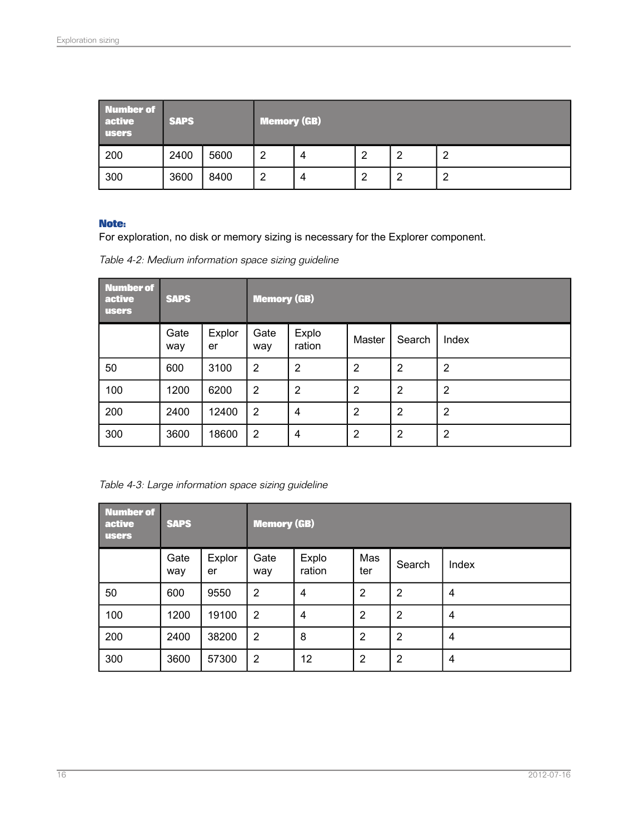| Number of<br>active<br><b>users</b> | <b>SAPS</b> |      | <b>Memory (GB)</b> |   |   |   |  |  |
|-------------------------------------|-------------|------|--------------------|---|---|---|--|--|
| 200                                 | 2400        | 5600 | ີ                  | 4 | ◠ | റ |  |  |
| 300                                 | 3600        | 8400 | ີ                  | 4 | ◠ | o |  |  |

#### **Note:**

For exploration, no disk or memory sizing is necessary for the Explorer component.

| Table 4-2: Medium information space sizing guideline |  |  |
|------------------------------------------------------|--|--|
|                                                      |  |  |

| <b>Number of</b><br>active<br><b>users</b> | <b>SAPS</b> |              | <b>Memory (GB)</b> |                 |                |                |                |  |
|--------------------------------------------|-------------|--------------|--------------------|-----------------|----------------|----------------|----------------|--|
|                                            | Gate<br>way | Explor<br>er | Gate<br>way        | Explo<br>ration | Master         | Search         | Index          |  |
| 50                                         | 600         | 3100         | $\overline{2}$     | $\overline{2}$  | $\overline{2}$ | $\overline{2}$ | $\overline{2}$ |  |
| 100                                        | 1200        | 6200         | $\overline{2}$     | $\overline{2}$  | $\overline{2}$ | $\overline{2}$ | $\overline{2}$ |  |
| 200                                        | 2400        | 12400        | $\overline{2}$     | 4               | $\overline{2}$ | $\overline{2}$ | $\overline{2}$ |  |
| 300                                        | 3600        | 18600        | $\overline{2}$     | 4               | $\overline{2}$ | $\overline{2}$ | 2              |  |

Table 4-3: Large information space sizing guideline

| <b>Number of</b><br>active<br><b>users</b> | <b>SAPS</b> |              | <b>Memory (GB)</b> |                 |                |                |                |  |
|--------------------------------------------|-------------|--------------|--------------------|-----------------|----------------|----------------|----------------|--|
|                                            | Gate<br>way | Explor<br>er | Gate<br>way        | Explo<br>ration | Mas<br>ter     | Search         | Index          |  |
| 50                                         | 600         | 9550         | $\overline{2}$     | 4               | $\overline{2}$ | $\overline{2}$ | 4              |  |
| 100                                        | 1200        | 19100        | $\overline{2}$     | 4               | $\overline{2}$ | $\overline{2}$ | 4              |  |
| 200                                        | 2400        | 38200        | $\overline{2}$     | 8               | $\overline{2}$ | $\overline{2}$ | $\overline{4}$ |  |
| 300                                        | 3600        | 57300        | $\overline{2}$     | 12              | $\overline{2}$ | $\overline{2}$ | 4              |  |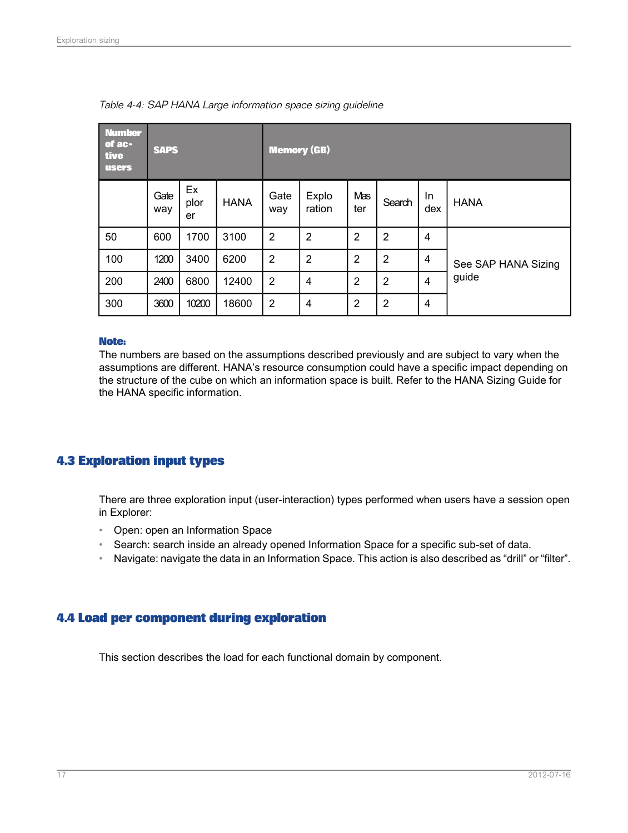| <b>Number</b><br>of ac-<br>tive<br><b>users</b> | <b>SAPS</b> |                  | <b>Memory (GB)</b> |                |                 |                |                |                         |                     |
|-------------------------------------------------|-------------|------------------|--------------------|----------------|-----------------|----------------|----------------|-------------------------|---------------------|
|                                                 | Gate<br>way | Ex<br>plor<br>er | <b>HANA</b>        | Gate<br>way    | Explo<br>ration | Mas<br>ter     | Search         | In.<br>dex              | <b>HANA</b>         |
| 50                                              | 600         | 1700             | 3100               | $\overline{2}$ | $\overline{2}$  | $\overline{2}$ | $\overline{2}$ | 4                       |                     |
| 100                                             | 1200        | 3400             | 6200               | $\overline{2}$ | $\overline{2}$  | $\overline{2}$ | $\overline{2}$ | $\overline{\mathbf{4}}$ | See SAP HANA Sizing |
| 200                                             | 2400        | 6800             | 12400              | 2              | 4               | $\overline{2}$ | $\overline{2}$ | 4                       | guide               |
| 300                                             | 3600        | 10200            | 18600              | 2              | 4               | $\overline{2}$ | $\overline{2}$ | 4                       |                     |

Table 4-4: SAP HANA Large information space sizing quideline

#### **Note:**

The numbers are based on the assumptions described previously and are subject to vary when the assumptions are different. HANA's resource consumption could have a specific impact depending on the structure of the cube on which an information space is built. Refer to the HANA Sizing Guide for the HANA specific information.

## <span id="page-16-0"></span>**4.3 Exploration input types**

There are three exploration input (user-interaction) types performed when users have a session open in Explorer:

- Open: open an Information Space
- Search: search inside an already opened Information Space for a specific sub-set of data.
- <span id="page-16-1"></span>• Navigate: navigate the data in an Information Space. This action is also described as "drill" or "filter".

#### **4.4 Load per component during exploration**

This section describes the load for each functional domain by component.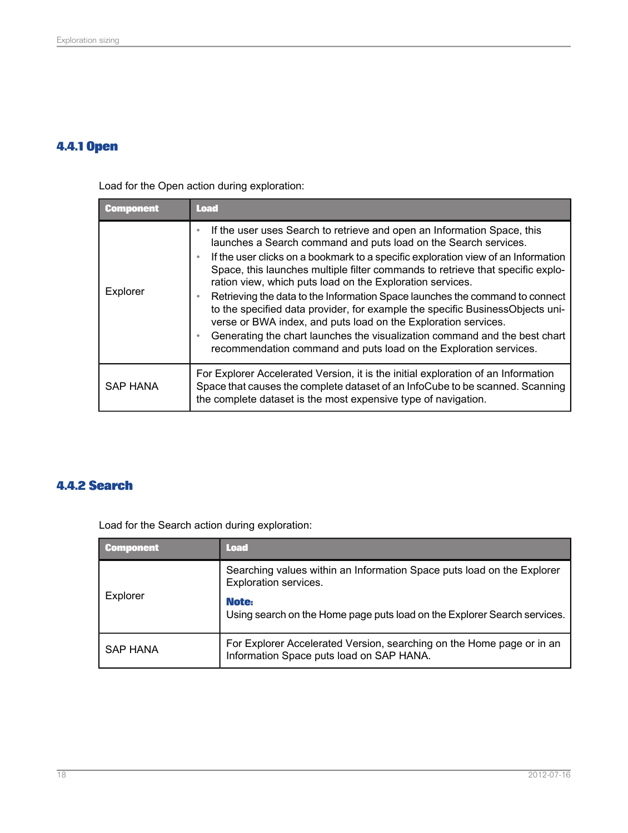## <span id="page-17-0"></span>**4.4.1 Open**

Load for the Open action during exploration:

| <b>Component</b> | <b>Load</b>                                                                                                                                                                                                                                                                                                                                                                                                                                                                                                                                                                                                                                                                                                                                                          |
|------------------|----------------------------------------------------------------------------------------------------------------------------------------------------------------------------------------------------------------------------------------------------------------------------------------------------------------------------------------------------------------------------------------------------------------------------------------------------------------------------------------------------------------------------------------------------------------------------------------------------------------------------------------------------------------------------------------------------------------------------------------------------------------------|
| Explorer         | If the user uses Search to retrieve and open an Information Space, this<br>launches a Search command and puts load on the Search services.<br>If the user clicks on a bookmark to a specific exploration view of an Information<br>Space, this launches multiple filter commands to retrieve that specific explo-<br>ration view, which puts load on the Exploration services.<br>Retrieving the data to the Information Space launches the command to connect<br>to the specified data provider, for example the specific BusinessObjects uni-<br>verse or BWA index, and puts load on the Exploration services.<br>Generating the chart launches the visualization command and the best chart<br>recommendation command and puts load on the Exploration services. |
| SAP HANA         | For Explorer Accelerated Version, it is the initial exploration of an Information<br>Space that causes the complete dataset of an InfoCube to be scanned. Scanning<br>the complete dataset is the most expensive type of navigation.                                                                                                                                                                                                                                                                                                                                                                                                                                                                                                                                 |

## <span id="page-17-1"></span>**4.4.2 Search**

Load for the Search action during exploration:

| <b>Component</b> | <b>Load</b>                                                                                                       |
|------------------|-------------------------------------------------------------------------------------------------------------------|
| Explorer         | Searching values within an Information Space puts load on the Explorer<br>Exploration services.                   |
|                  | Note:<br>Using search on the Home page puts load on the Explorer Search services.                                 |
| <b>SAP HANA</b>  | For Explorer Accelerated Version, searching on the Home page or in an<br>Information Space puts load on SAP HANA. |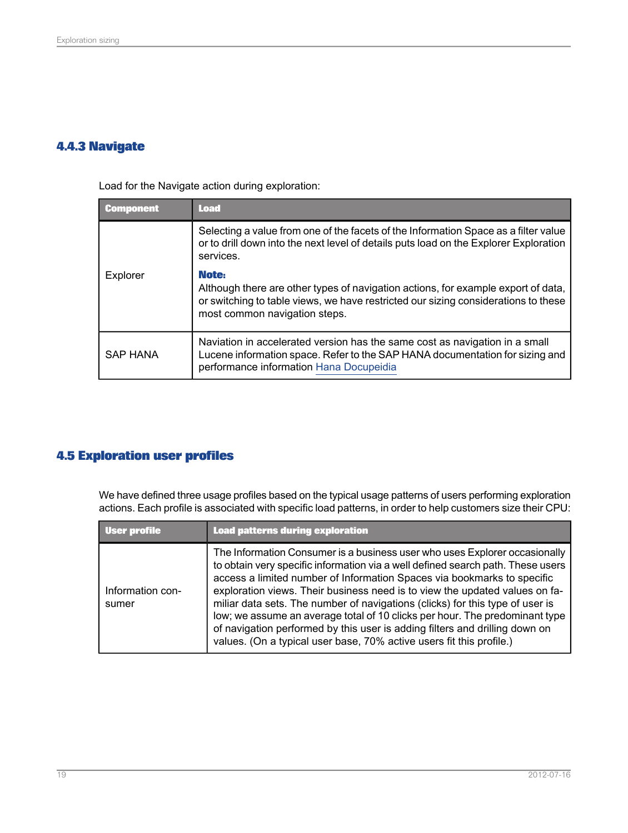## <span id="page-18-0"></span>**4.4.3 Navigate**

Load for the Navigate action during exploration:

| <b>Component</b> | <b>Load</b>                                                                                                                                                                                                       |
|------------------|-------------------------------------------------------------------------------------------------------------------------------------------------------------------------------------------------------------------|
|                  | Selecting a value from one of the facets of the Information Space as a filter value<br>or to drill down into the next level of details puts load on the Explorer Exploration<br>services.                         |
| Explorer         | Note:<br>Although there are other types of navigation actions, for example export of data,<br>or switching to table views, we have restricted our sizing considerations to these<br>most common navigation steps. |
| <b>SAP HANA</b>  | Naviation in accelerated version has the same cost as navigation in a small<br>Lucene information space. Refer to the SAP HANA documentation for sizing and<br>performance information Hana Docupeidia            |

## <span id="page-18-1"></span>**4.5 Exploration user profiles**

We have defined three usage profiles based on the typical usage patterns of users performing exploration actions. Each profile is associated with specific load patterns, in order to help customers size their CPU:

| User profile              | <b>Load patterns during exploration</b>                                                                                                                                                                                                                                                                                                                                                                                                                                                                                                                                                                                                        |
|---------------------------|------------------------------------------------------------------------------------------------------------------------------------------------------------------------------------------------------------------------------------------------------------------------------------------------------------------------------------------------------------------------------------------------------------------------------------------------------------------------------------------------------------------------------------------------------------------------------------------------------------------------------------------------|
| Information con-<br>sumer | The Information Consumer is a business user who uses Explorer occasionally<br>to obtain very specific information via a well defined search path. These users<br>access a limited number of Information Spaces via bookmarks to specific<br>exploration views. Their business need is to view the updated values on fa-<br>miliar data sets. The number of navigations (clicks) for this type of user is<br>low; we assume an average total of 10 clicks per hour. The predominant type<br>of navigation performed by this user is adding filters and drilling down on<br>values. (On a typical user base, 70% active users fit this profile.) |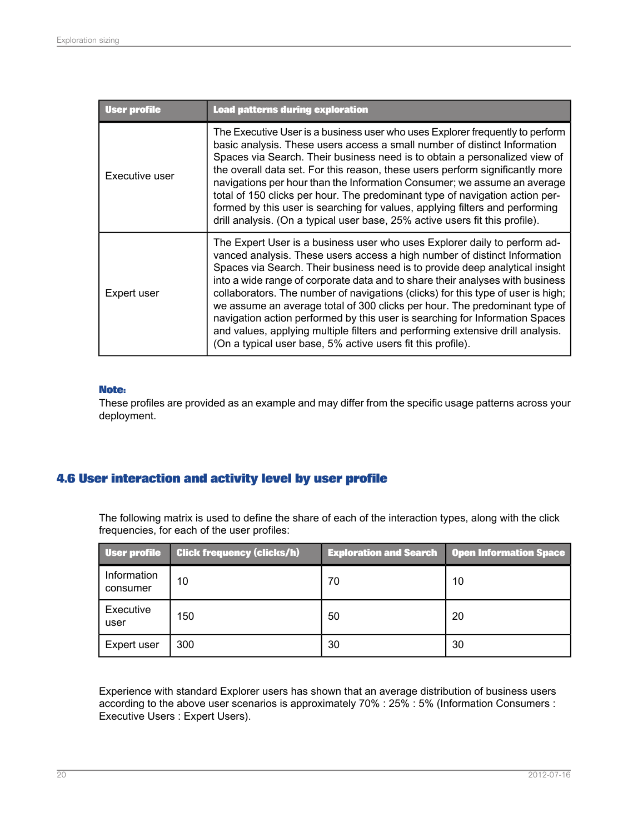| <b>User profile</b> | <b>Load patterns during exploration</b>                                                                                                                                                                                                                                                                                                                                                                                                                                                                                                                                                                                                                                                                                    |
|---------------------|----------------------------------------------------------------------------------------------------------------------------------------------------------------------------------------------------------------------------------------------------------------------------------------------------------------------------------------------------------------------------------------------------------------------------------------------------------------------------------------------------------------------------------------------------------------------------------------------------------------------------------------------------------------------------------------------------------------------------|
| Executive user      | The Executive User is a business user who uses Explorer frequently to perform<br>basic analysis. These users access a small number of distinct Information<br>Spaces via Search. Their business need is to obtain a personalized view of<br>the overall data set. For this reason, these users perform significantly more<br>navigations per hour than the Information Consumer; we assume an average<br>total of 150 clicks per hour. The predominant type of navigation action per-<br>formed by this user is searching for values, applying filters and performing<br>drill analysis. (On a typical user base, 25% active users fit this profile).                                                                      |
| Expert user         | The Expert User is a business user who uses Explorer daily to perform ad-<br>vanced analysis. These users access a high number of distinct Information<br>Spaces via Search. Their business need is to provide deep analytical insight<br>into a wide range of corporate data and to share their analyses with business<br>collaborators. The number of navigations (clicks) for this type of user is high;<br>we assume an average total of 300 clicks per hour. The predominant type of<br>navigation action performed by this user is searching for Information Spaces<br>and values, applying multiple filters and performing extensive drill analysis.<br>(On a typical user base, 5% active users fit this profile). |

#### **Note:**

These profiles are provided as an example and may differ from the specific usage patterns across your deployment.

## <span id="page-19-0"></span>**4.6 User interaction and activity level by user profile**

The following matrix is used to define the share of each of the interaction types, along with the click frequencies, for each of the user profiles:

| <b>User profile</b>     | <b>Click frequency (clicks/h)</b> |    | <b>Exploration and Search   Open Information Space</b> |
|-------------------------|-----------------------------------|----|--------------------------------------------------------|
| Information<br>consumer | 10                                | 70 | 10                                                     |
| Executive<br>user       | 150                               | 50 | 20                                                     |
| Expert user             | 300                               | 30 | 30                                                     |

Experience with standard Explorer users has shown that an average distribution of business users according to the above user scenarios is approximately 70% : 25% : 5% (Information Consumers : Executive Users : Expert Users).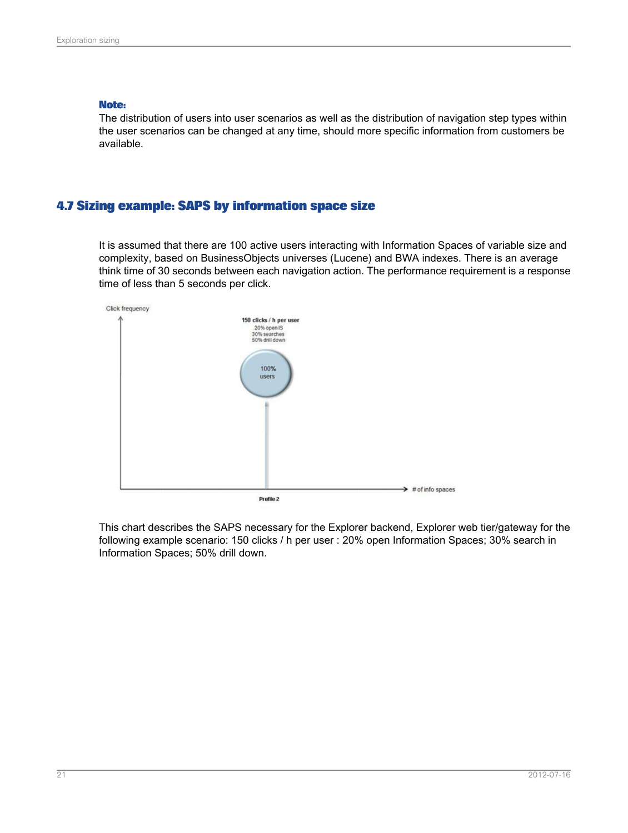#### **Note:**

The distribution of users into user scenarios as well as the distribution of navigation step types within the user scenarios can be changed at any time, should more specific information from customers be available.

#### <span id="page-20-0"></span>**4.7 Sizing example: SAPS by information space size**

It is assumed that there are 100 active users interacting with Information Spaces of variable size and complexity, based on BusinessObjects universes (Lucene) and BWA indexes. There is an average think time of 30 seconds between each navigation action. The performance requirement is a response time of less than 5 seconds per click.

![](_page_20_Figure_5.jpeg)

This chart describes the SAPS necessary for the Explorer backend, Explorer web tier/gateway for the following example scenario: 150 clicks / h per user : 20% open Information Spaces; 30% search in Information Spaces; 50% drill down.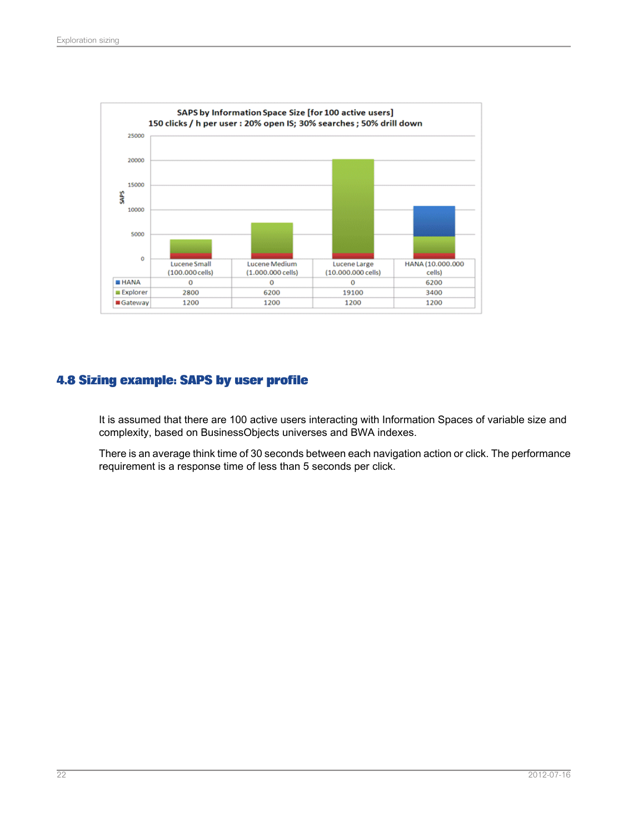![](_page_21_Figure_1.jpeg)

## <span id="page-21-0"></span>**4.8 Sizing example: SAPS by user profile**

It is assumed that there are 100 active users interacting with Information Spaces of variable size and complexity, based on BusinessObjects universes and BWA indexes.

There is an average think time of 30 seconds between each navigation action or click. The performance requirement is a response time of less than 5 seconds per click.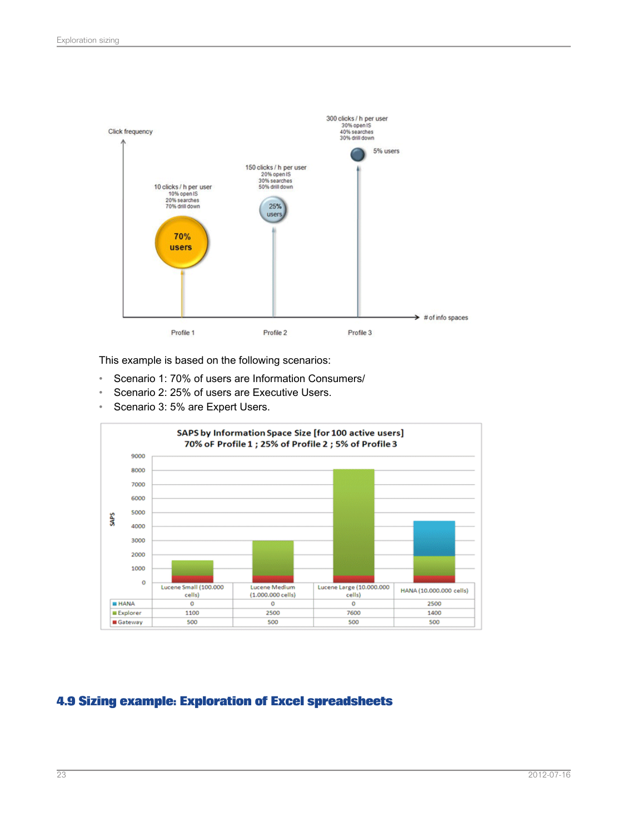![](_page_22_Figure_1.jpeg)

This example is based on the following scenarios:

- Scenario 1: 70% of users are Information Consumers/
- Scenario 2: 25% of users are Executive Users.
- Scenario 3: 5% are Expert Users.

![](_page_22_Figure_6.jpeg)

## <span id="page-22-0"></span>**4.9 Sizing example: Exploration of Excel spreadsheets**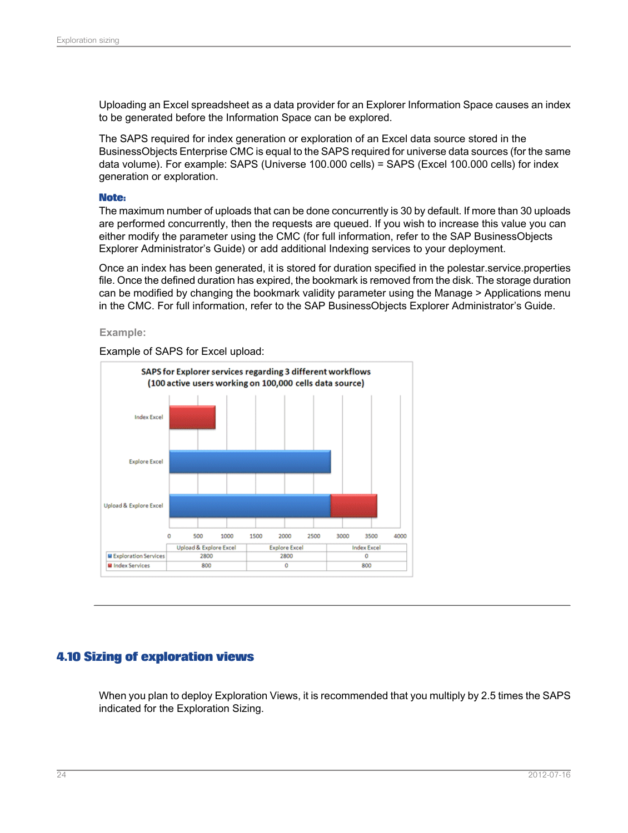Uploading an Excel spreadsheet as a data provider for an Explorer Information Space causes an index to be generated before the Information Space can be explored.

The SAPS required for index generation or exploration of an Excel data source stored in the BusinessObjects Enterprise CMC is equal to the SAPS required for universe data sources (for the same data volume). For example: SAPS (Universe 100.000 cells) = SAPS (Excel 100.000 cells) for index generation or exploration.

#### **Note:**

The maximum number of uploads that can be done concurrently is 30 by default. If more than 30 uploads are performed concurrently, then the requests are queued. If you wish to increase this value you can either modify the parameter using the CMC (for full information, refer to the SAP BusinessObjects Explorer Administrator's Guide) or add additional Indexing services to your deployment.

Once an index has been generated, it is stored for duration specified in the polestar.service.properties file. Once the defined duration has expired, the bookmark is removed from the disk. The storage duration can be modified by changing the bookmark validity parameter using the Manage > Applications menu in the CMC. For full information, refer to the SAP BusinessObjects Explorer Administrator's Guide.

#### **Example:**

Example of SAPS for Excel upload:

![](_page_23_Figure_8.jpeg)

#### <span id="page-23-0"></span>**4.10 Sizing of exploration views**

When you plan to deploy Exploration Views, it is recommended that you multiply by 2.5 times the SAPS indicated for the Exploration Sizing.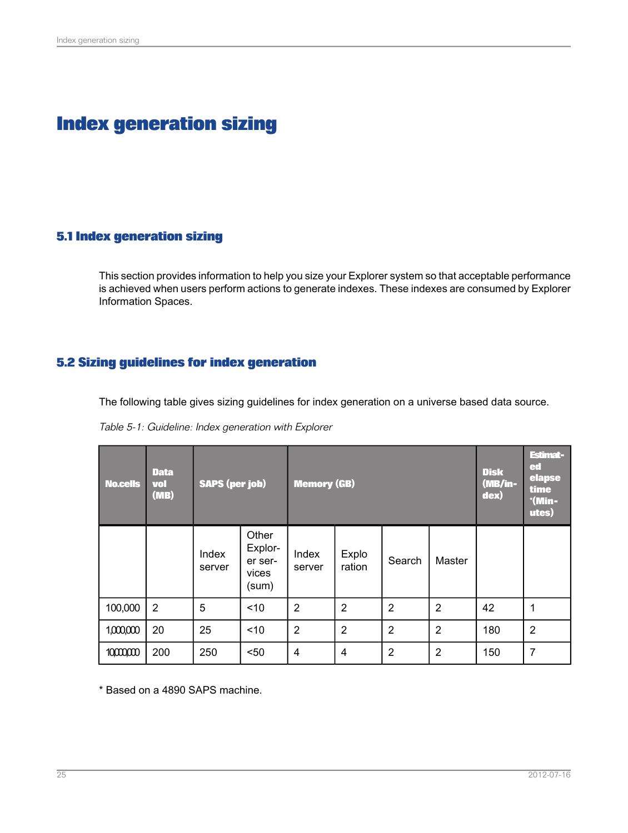# **Index generation sizing**

### <span id="page-24-1"></span><span id="page-24-0"></span>**5.1 Index generation sizing**

This section provides information to help you size your Explorer system so that acceptable performance is achieved when users perform actions to generate indexes. These indexes are consumed by Explorer Information Spaces.

## <span id="page-24-2"></span>**5.2 Sizing guidelines for index generation**

The following table gives sizing guidelines for index generation on a universe based data source.

| Table 5-1: Guideline: Index generation with Explorer |  |  |
|------------------------------------------------------|--|--|
|------------------------------------------------------|--|--|

| <b>No.cells</b> | <b>Data</b><br>vol<br>(MB) | <b>SAPS (per job)</b> |                                               | <b>Memory (GB)</b> |                 |                | <b>Disk</b><br>(MB/in-<br>dex) | Estimat-<br>ed<br>elapse<br>time<br>$^*$ (Min-<br>utes) |                |
|-----------------|----------------------------|-----------------------|-----------------------------------------------|--------------------|-----------------|----------------|--------------------------------|---------------------------------------------------------|----------------|
|                 |                            | Index<br>server       | Other<br>Explor-<br>er ser-<br>vices<br>(sum) | Index<br>server    | Explo<br>ration | Search         | Master                         |                                                         |                |
| 100,000         | $\overline{2}$             | 5                     | ~10                                           | $\overline{2}$     | $\overline{2}$  | $\overline{2}$ | $\overline{2}$                 | 42                                                      | 1              |
| 1,000,000       | 20                         | 25                    | ~10                                           | $\overline{2}$     | $\overline{2}$  | $\overline{2}$ | $\overline{2}$                 | 180                                                     | $\overline{2}$ |
| 10000,000       | 200                        | 250                   | $50$                                          | 4                  | 4               | $\overline{2}$ | $\overline{2}$                 | 150                                                     | $\overline{7}$ |

\* Based on a 4890 SAPS machine.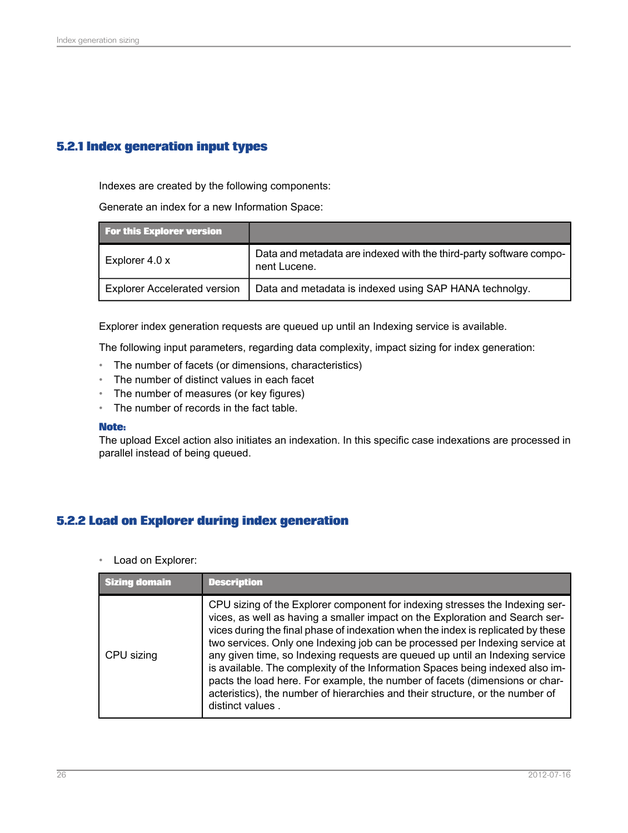## <span id="page-25-0"></span>**5.2.1 Index generation input types**

Indexes are created by the following components:

Generate an index for a new Information Space:

| <b>For this Explorer version</b>    |                                                                                    |
|-------------------------------------|------------------------------------------------------------------------------------|
| Explorer 4.0 x                      | Data and metadata are indexed with the third-party software compo-<br>nent Lucene. |
| <b>Explorer Accelerated version</b> | Data and metadata is indexed using SAP HANA technolgy.                             |

Explorer index generation requests are queued up until an Indexing service is available.

The following input parameters, regarding data complexity, impact sizing for index generation:

- The number of facets (or dimensions, characteristics)
- The number of distinct values in each facet
- The number of measures (or key figures)
- The number of records in the fact table.

#### **Note:**

The upload Excel action also initiates an indexation. In this specific case indexations are processed in parallel instead of being queued.

#### <span id="page-25-1"></span>**5.2.2 Load on Explorer during index generation**

• Load on Explorer:

| Sizing domain | <b>Description</b>                                                                                                                                                                                                                                                                                                                                                                                                                                                                                                                                                                                                                                                                    |
|---------------|---------------------------------------------------------------------------------------------------------------------------------------------------------------------------------------------------------------------------------------------------------------------------------------------------------------------------------------------------------------------------------------------------------------------------------------------------------------------------------------------------------------------------------------------------------------------------------------------------------------------------------------------------------------------------------------|
| CPU sizing    | CPU sizing of the Explorer component for indexing stresses the Indexing ser-<br>vices, as well as having a smaller impact on the Exploration and Search ser-<br>vices during the final phase of indexation when the index is replicated by these<br>two services. Only one Indexing job can be processed per Indexing service at<br>any given time, so Indexing requests are queued up until an Indexing service<br>is available. The complexity of the Information Spaces being indexed also im-<br>pacts the load here. For example, the number of facets (dimensions or char-<br>acteristics), the number of hierarchies and their structure, or the number of<br>distinct values. |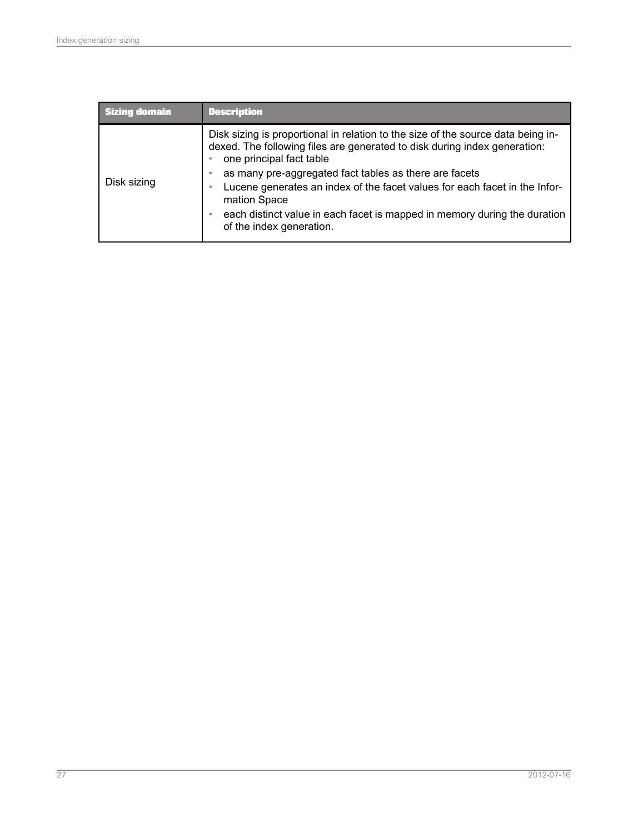| <b>Sizing domain</b> | <b>Description</b>                                                                                                                                                                                                                                                                                                                                                                                                                                         |
|----------------------|------------------------------------------------------------------------------------------------------------------------------------------------------------------------------------------------------------------------------------------------------------------------------------------------------------------------------------------------------------------------------------------------------------------------------------------------------------|
| Disk sizing          | Disk sizing is proportional in relation to the size of the source data being in-<br>dexed. The following files are generated to disk during index generation:<br>one principal fact table<br>as many pre-aggregated fact tables as there are facets<br>Lucene generates an index of the facet values for each facet in the Infor-<br>mation Space<br>each distinct value in each facet is mapped in memory during the duration<br>of the index generation. |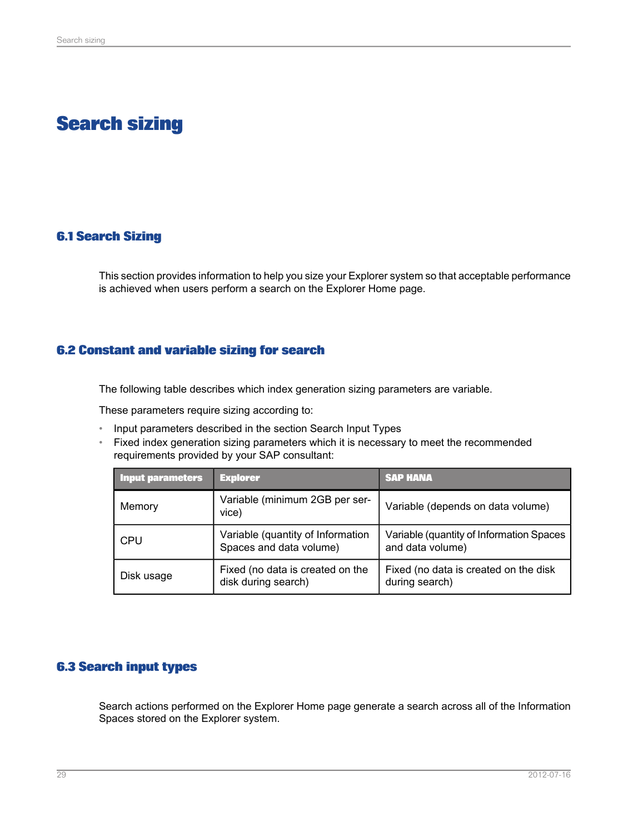# **Search sizing**

## <span id="page-28-1"></span><span id="page-28-0"></span>**6.1 Search Sizing**

This section provides information to help you size your Explorer system so that acceptable performance is achieved when users perform a search on the Explorer Home page.

#### <span id="page-28-2"></span>**6.2 Constant and variable sizing for search**

The following table describes which index generation sizing parameters are variable.

These parameters require sizing according to:

- Input parameters described in the section Search Input Types
- Fixed index generation sizing parameters which it is necessary to meet the recommended requirements provided by your SAP consultant:

| Input parameters | <b>Explorer</b>                                              | <b>SAP HANA</b>                                              |
|------------------|--------------------------------------------------------------|--------------------------------------------------------------|
| Memory           | Variable (minimum 2GB per ser-<br>vice)                      | Variable (depends on data volume)                            |
| CPU              | Variable (quantity of Information<br>Spaces and data volume) | Variable (quantity of Information Spaces<br>and data volume) |
| Disk usage       | Fixed (no data is created on the<br>disk during search)      | Fixed (no data is created on the disk<br>during search)      |

#### <span id="page-28-3"></span>**6.3 Search input types**

Search actions performed on the Explorer Home page generate a search across all of the Information Spaces stored on the Explorer system.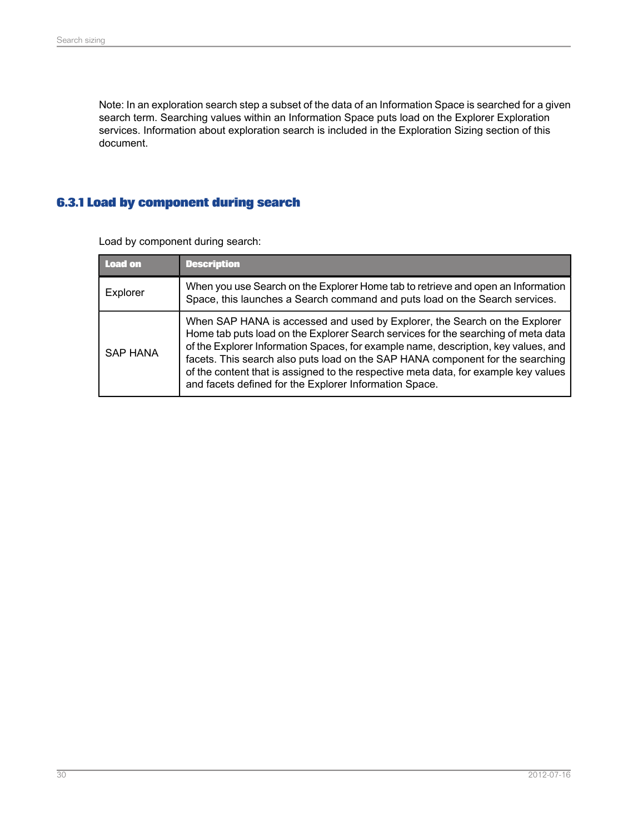Note: In an exploration search step a subset of the data of an Information Space is searched for a given search term. Searching values within an Information Space puts load on the Explorer Exploration services. Information about exploration search is included in the Exploration Sizing section of this document.

## <span id="page-29-0"></span>**6.3.1 Load by component during search**

| Load on         | <b>Description</b>                                                                                                                                                                                                                                                                                                                                                                                                                                                                       |
|-----------------|------------------------------------------------------------------------------------------------------------------------------------------------------------------------------------------------------------------------------------------------------------------------------------------------------------------------------------------------------------------------------------------------------------------------------------------------------------------------------------------|
| Explorer        | When you use Search on the Explorer Home tab to retrieve and open an Information<br>Space, this launches a Search command and puts load on the Search services.                                                                                                                                                                                                                                                                                                                          |
| <b>SAP HANA</b> | When SAP HANA is accessed and used by Explorer, the Search on the Explorer<br>Home tab puts load on the Explorer Search services for the searching of meta data<br>of the Explorer Information Spaces, for example name, description, key values, and<br>facets. This search also puts load on the SAP HANA component for the searching<br>of the content that is assigned to the respective meta data, for example key values<br>and facets defined for the Explorer Information Space. |

Load by component during search: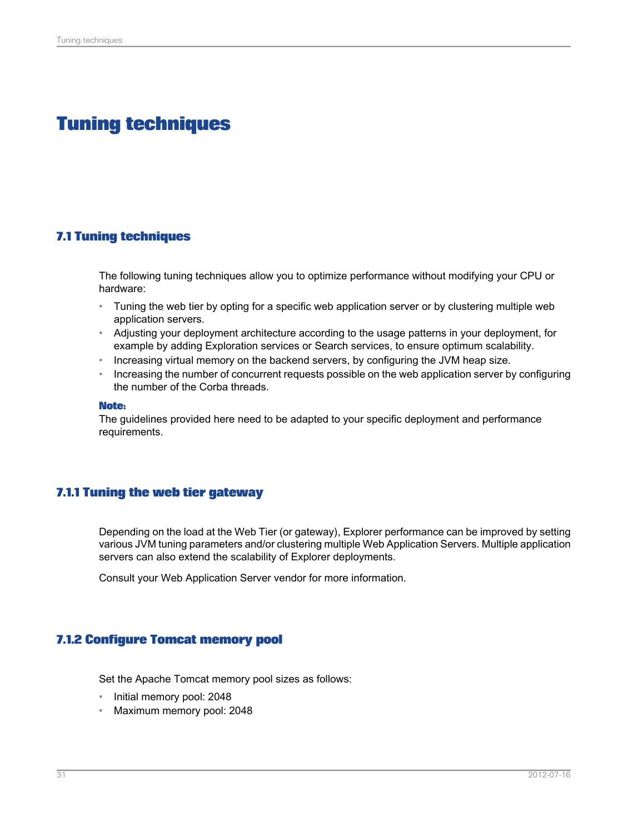# **Tuning techniques**

#### <span id="page-30-1"></span><span id="page-30-0"></span>**7.1 Tuning techniques**

The following tuning techniques allow you to optimize performance without modifying your CPU or hardware:

- Tuning the web tier by opting for a specific web application server or by clustering multiple web application servers.
- Adjusting your deployment architecture according to the usage patterns in your deployment, for example by adding Exploration services or Search services, to ensure optimum scalability.
- Increasing virtual memory on the backend servers, by configuring the JVM heap size.
- Increasing the number of concurrent requests possible on the web application server by configuring the number of the Corba threads.

#### **Note:**

The guidelines provided here need to be adapted to your specific deployment and performance requirements.

#### <span id="page-30-2"></span>**7.1.1 Tuning the web tier gateway**

Depending on the load at the Web Tier (or gateway), Explorer performance can be improved by setting various JVM tuning parameters and/or clustering multiple Web Application Servers. Multiple application servers can also extend the scalability of Explorer deployments.

<span id="page-30-3"></span>Consult your Web Application Server vendor for more information.

#### **7.1.2 Configure Tomcat memory pool**

Set the Apache Tomcat memory pool sizes as follows:

- Initial memory pool: 2048
- Maximum memory pool: 2048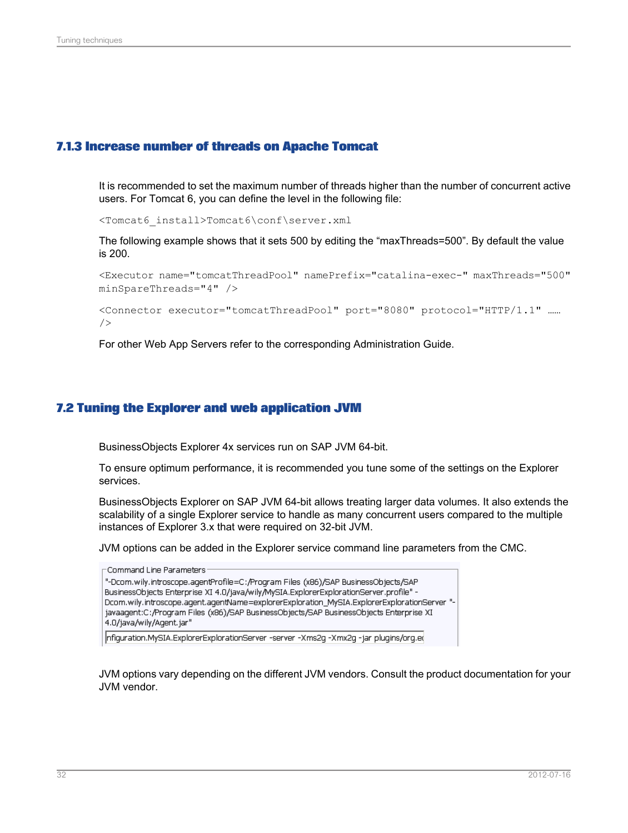#### <span id="page-31-0"></span>**7.1.3 Increase number of threads on Apache Tomcat**

It is recommended to set the maximum number of threads higher than the number of concurrent active users. For Tomcat 6, you can define the level in the following file:

<Tomcat6\_install>Tomcat6\conf\server.xml

The following example shows that it sets 500 by editing the "maxThreads=500". By default the value is 200.

<Executor name="tomcatThreadPool" namePrefix="catalina-exec-" maxThreads="500" minSpareThreads="4" />

```
<Connector executor="tomcatThreadPool" port="8080" protocol="HTTP/1.1" ……
/>
```
For other Web App Servers refer to the corresponding Administration Guide.

#### <span id="page-31-1"></span>**7.2 Tuning the Explorer and web application JVM**

BusinessObjects Explorer 4x services run on SAP JVM 64-bit.

To ensure optimum performance, it is recommended you tune some of the settings on the Explorer services.

BusinessObjects Explorer on SAP JVM 64-bit allows treating larger data volumes. It also extends the scalability of a single Explorer service to handle as many concurrent users compared to the multiple instances of Explorer 3.x that were required on 32-bit JVM.

JVM options can be added in the Explorer service command line parameters from the CMC.

```
\GammaCommand Line Parameters
"-Dcom.wily.introscope.agentProfile=C:/Program Files (x86)/SAP BusinessObjects/SAP
BusinessObjects Enterprise XI 4.0/java/wily/MySIA.ExplorerExplorationServer.profile" -
Dcom.wily.introscope.agent.agentName=explorerExploration_MySIA.ExplorerExplorationServer "-
javaagent:C:/Program Files (x86)/SAP BusinessObjects/SAP BusinessObjects Enterprise XI
4.0/java/wily/Agent.jar"
nfiguration.MySIA.ExplorerExplorationServer -server -Xms2g -Xmx2g -jar plugins/org.ed
```
JVM options vary depending on the different JVM vendors. Consult the product documentation for your JVM vendor.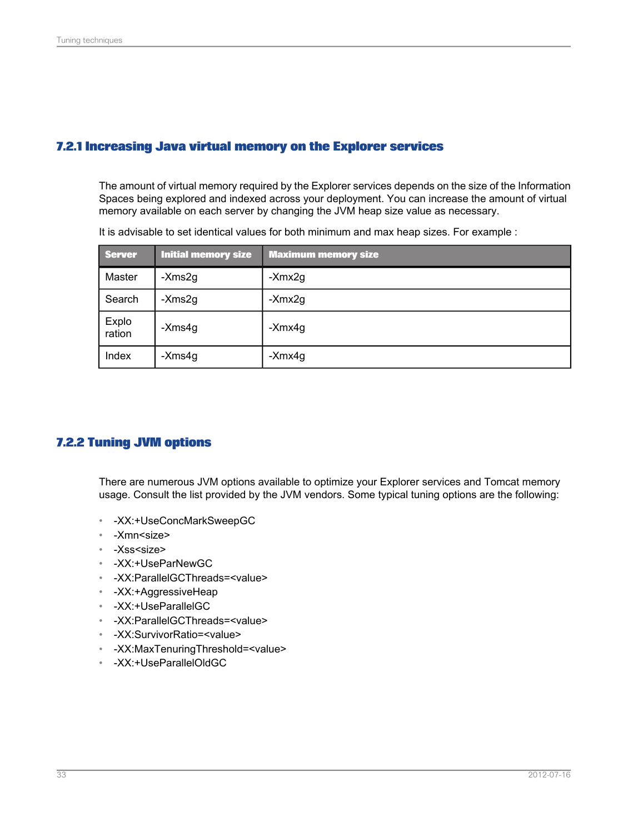#### <span id="page-32-0"></span>**7.2.1 Increasing Java virtual memory on the Explorer services**

The amount of virtual memory required by the Explorer services depends on the size of the Information Spaces being explored and indexed across your deployment. You can increase the amount of virtual memory available on each server by changing the JVM heap size value as necessary.

| <b>Server</b>   | <b>Initial memory size</b> | <b>Maximum memory size</b> |
|-----------------|----------------------------|----------------------------|
| Master          | -Xms2g                     | -Xmx2g                     |
| Search          | -Xms2g                     | -Xmx2g                     |
| Explo<br>ration | -Xms4g                     | -Xmx4g                     |
| Index           | -Xms4g                     | -Xmx4g                     |

It is advisable to set identical values for both minimum and max heap sizes. For example :

#### <span id="page-32-1"></span>**7.2.2 Tuning JVM options**

There are numerous JVM options available to optimize your Explorer services and Tomcat memory usage. Consult the list provided by the JVM vendors. Some typical tuning options are the following:

- -XX:+UseConcMarkSweepGC
- -Xmn<size>
- -Xss<size>
- -XX:+UseParNewGC
- -XX:ParallelGCThreads=<value>
- -XX:+AggressiveHeap
- -XX:+UseParallelGC
- -XX:ParallelGCThreads=<value>
- -XX:SurvivorRatio=<value>
- -XX:MaxTenuringThreshold=<value>
- -XX:+UseParallelOldGC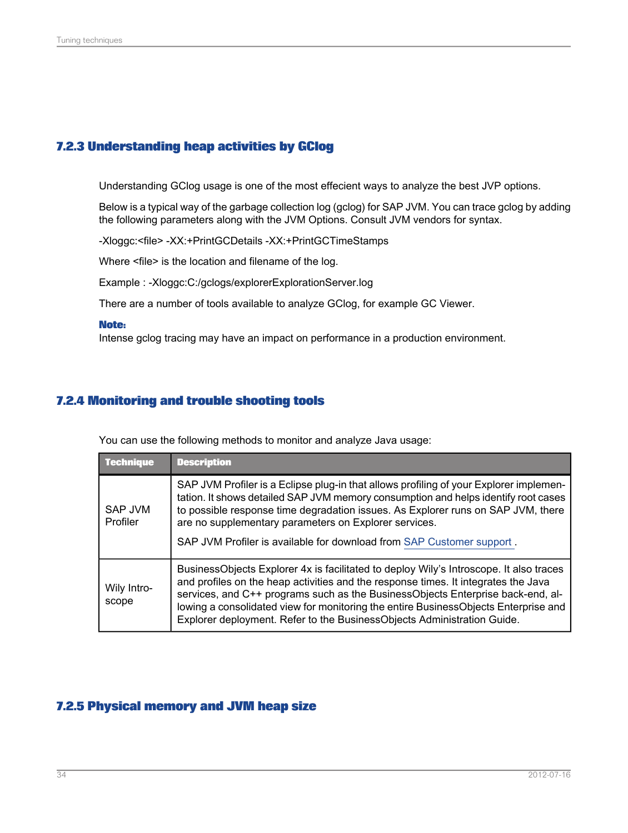### <span id="page-33-0"></span>**7.2.3 Understanding heap activities by GClog**

Understanding GClog usage is one of the most effecient ways to analyze the best JVP options.

Below is a typical way of the garbage collection log (gclog) for SAP JVM. You can trace gclog by adding the following parameters along with the JVM Options. Consult JVM vendors for syntax.

-Xloggc:<file> -XX:+PrintGCDetails -XX:+PrintGCTimeStamps

Where <file> is the location and filename of the log.

Example : -Xloggc:C:/gclogs/explorerExplorationServer.log

There are a number of tools available to analyze GClog, for example GC Viewer.

#### **Note:**

Intense gclog tracing may have an impact on performance in a production environment.

#### <span id="page-33-1"></span>**7.2.4 Monitoring and trouble shooting tools**

You can use the following methods to monitor and analyze Java usage:

| <b>Technique</b>     | <b>Description</b>                                                                                                                                                                                                                                                                                                                                                                                                                |
|----------------------|-----------------------------------------------------------------------------------------------------------------------------------------------------------------------------------------------------------------------------------------------------------------------------------------------------------------------------------------------------------------------------------------------------------------------------------|
| SAP JVM<br>Profiler  | SAP JVM Profiler is a Eclipse plug-in that allows profiling of your Explorer implemen-<br>tation. It shows detailed SAP JVM memory consumption and helps identify root cases<br>to possible response time degradation issues. As Explorer runs on SAP JVM, there<br>are no supplementary parameters on Explorer services.<br>SAP JVM Profiler is available for download from SAP Customer support.                                |
| Wily Intro-<br>scope | BusinessObjects Explorer 4x is facilitated to deploy Wily's Introscope. It also traces<br>and profiles on the heap activities and the response times. It integrates the Java<br>services, and C++ programs such as the BusinessObjects Enterprise back-end, al-<br>lowing a consolidated view for monitoring the entire BusinessObjects Enterprise and<br>Explorer deployment. Refer to the BusinessObjects Administration Guide. |

#### <span id="page-33-2"></span>**7.2.5 Physical memory and JVM heap size**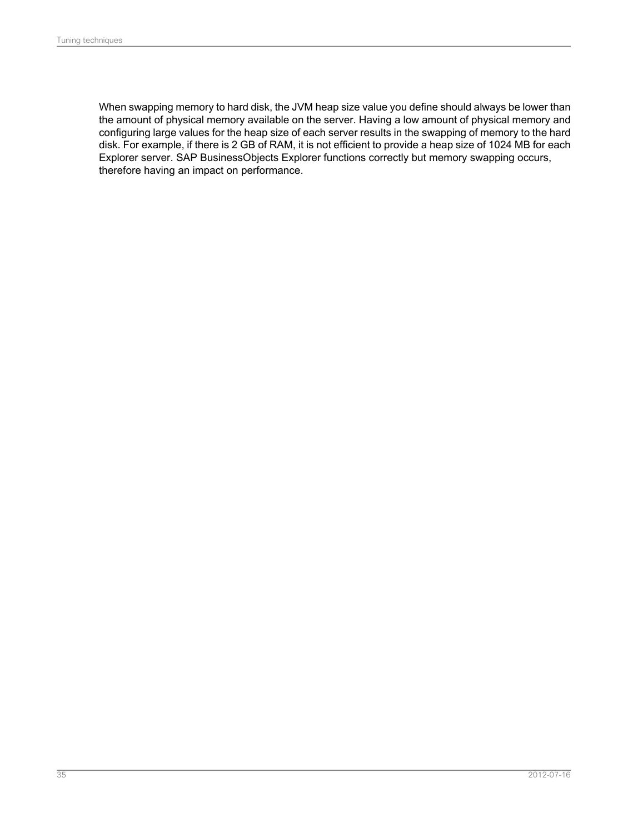When swapping memory to hard disk, the JVM heap size value you define should always be lower than the amount of physical memory available on the server. Having a low amount of physical memory and configuring large values for the heap size of each server results in the swapping of memory to the hard disk. For example, if there is 2 GB of RAM, it is not efficient to provide a heap size of 1024 MB for each Explorer server. SAP BusinessObjects Explorer functions correctly but memory swapping occurs, therefore having an impact on performance.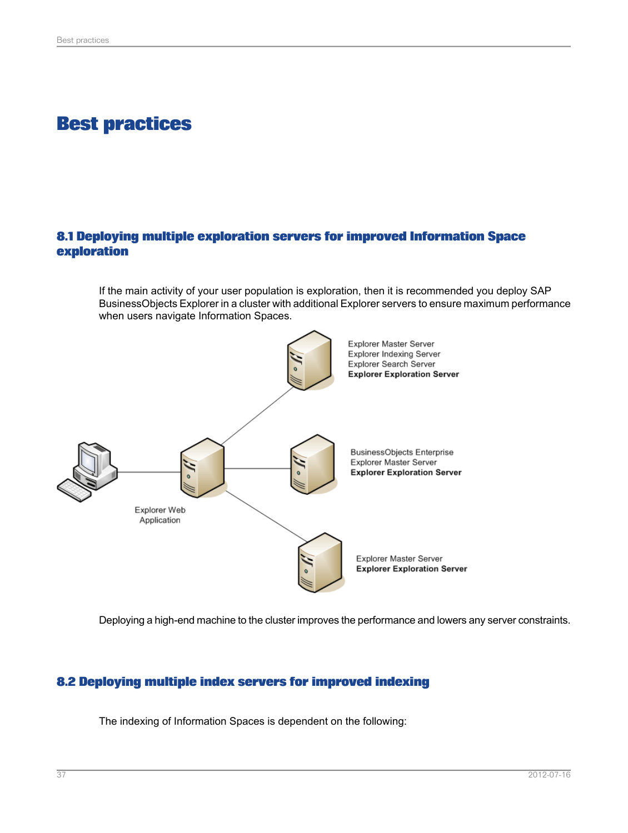## **Best practices**

## <span id="page-36-1"></span><span id="page-36-0"></span>**8.1 Deploying multiple exploration servers for improved Information Space exploration**

If the main activity of your user population is exploration, then it is recommended you deploy SAP BusinessObjects Explorer in a cluster with additional Explorer servers to ensure maximum performance when users navigate Information Spaces.

![](_page_36_Figure_4.jpeg)

<span id="page-36-2"></span>Deploying a high-end machine to the cluster improves the performance and lowers any server constraints.

#### **8.2 Deploying multiple index servers for improved indexing**

The indexing of Information Spaces is dependent on the following: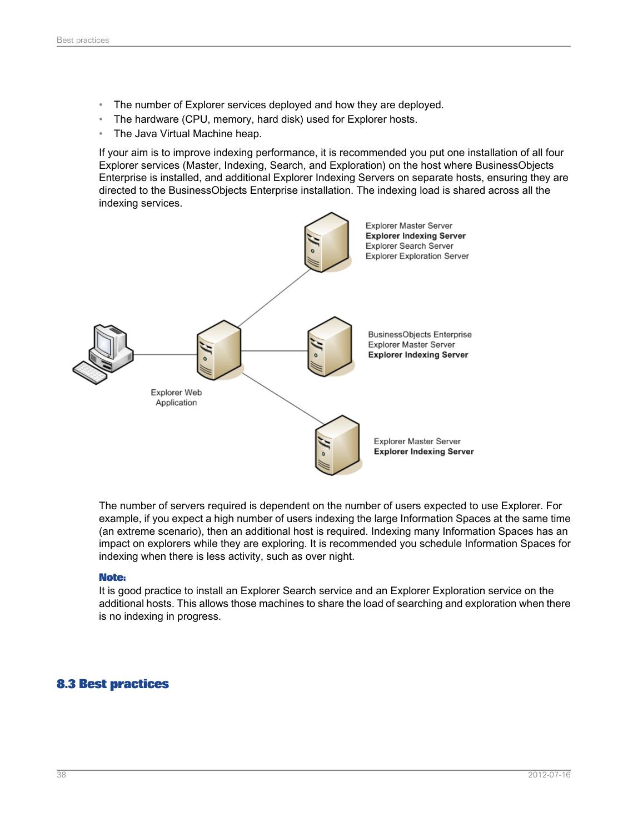- The number of Explorer services deployed and how they are deployed.
- The hardware (CPU, memory, hard disk) used for Explorer hosts.
- The Java Virtual Machine heap.

If your aim is to improve indexing performance, it is recommended you put one installation of all four Explorer services (Master, Indexing, Search, and Exploration) on the host where BusinessObjects Enterprise is installed, and additional Explorer Indexing Servers on separate hosts, ensuring they are directed to the BusinessObjects Enterprise installation. The indexing load is shared across all the indexing services.

![](_page_37_Figure_5.jpeg)

The number of servers required is dependent on the number of users expected to use Explorer. For example, if you expect a high number of users indexing the large Information Spaces at the same time (an extreme scenario), then an additional host is required. Indexing many Information Spaces has an impact on explorers while they are exploring. It is recommended you schedule Information Spaces for indexing when there is less activity, such as over night.

#### **Note:**

<span id="page-37-0"></span>It is good practice to install an Explorer Search service and an Explorer Exploration service on the additional hosts. This allows those machines to share the load of searching and exploration when there is no indexing in progress.

## **8.3 Best practices**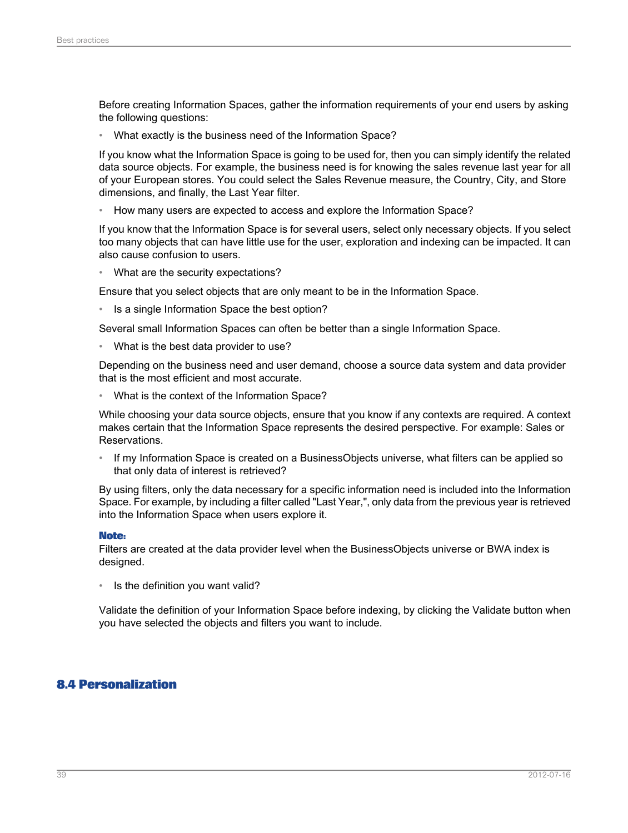Before creating Information Spaces, gather the information requirements of your end users by asking the following questions:

• What exactly is the business need of the Information Space?

If you know what the Information Space is going to be used for, then you can simply identify the related data source objects. For example, the business need is for knowing the sales revenue last year for all of your European stores. You could select the Sales Revenue measure, the Country, City, and Store dimensions, and finally, the Last Year filter.

• How many users are expected to access and explore the Information Space?

If you know that the Information Space is for several users, select only necessary objects. If you select too many objects that can have little use for the user, exploration and indexing can be impacted. It can also cause confusion to users.

• What are the security expectations?

Ensure that you select objects that are only meant to be in the Information Space.

Is a single Information Space the best option?

Several small Information Spaces can often be better than a single Information Space.

• What is the best data provider to use?

Depending on the business need and user demand, choose a source data system and data provider that is the most efficient and most accurate.

• What is the context of the Information Space?

While choosing your data source objects, ensure that you know if any contexts are required. A context makes certain that the Information Space represents the desired perspective. For example: Sales or Reservations.

• If my Information Space is created on a BusinessObjects universe, what filters can be applied so that only data of interest is retrieved?

By using filters, only the data necessary for a specific information need is included into the Information Space. For example, by including a filter called "Last Year,", only data from the previous year is retrieved into the Information Space when users explore it.

#### **Note:**

Filters are created at the data provider level when the BusinessObjects universe or BWA index is designed.

Is the definition you want valid?

<span id="page-38-0"></span>Validate the definition of your Information Space before indexing, by clicking the Validate button when you have selected the objects and filters you want to include.

#### **8.4 Personalization**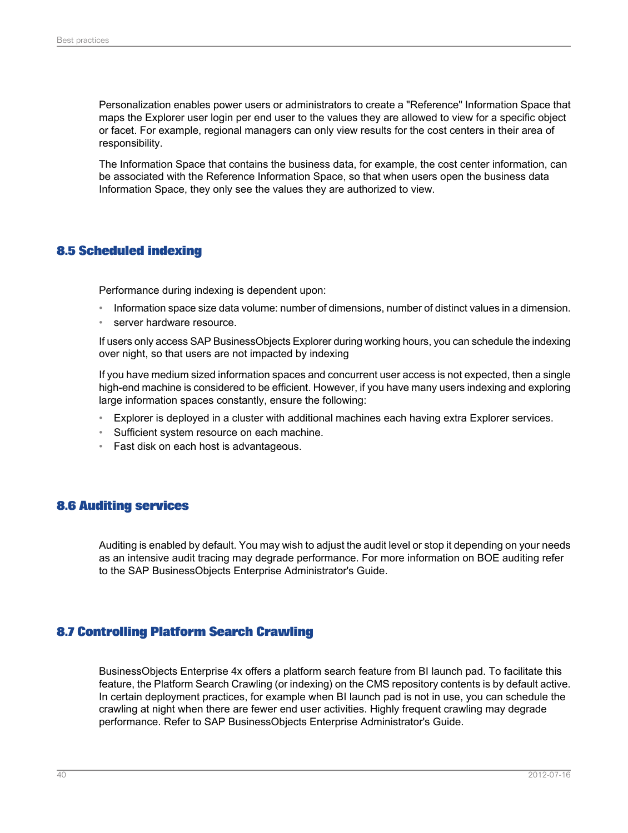Personalization enables power users or administrators to create a "Reference" Information Space that maps the Explorer user login per end user to the values they are allowed to view for a specific object or facet. For example, regional managers can only view results for the cost centers in their area of responsibility.

The Information Space that contains the business data, for example, the cost center information, can be associated with the Reference Information Space, so that when users open the business data Information Space, they only see the values they are authorized to view.

#### <span id="page-39-0"></span>**8.5 Scheduled indexing**

Performance during indexing is dependent upon:

- Information space size data volume: number of dimensions, number of distinct values in a dimension.
- server hardware resource.

If users only access SAP BusinessObjects Explorer during working hours, you can schedule the indexing over night, so that users are not impacted by indexing

If you have medium sized information spaces and concurrent user access is not expected, then a single high-end machine is considered to be efficient. However, if you have many users indexing and exploring large information spaces constantly, ensure the following:

- Explorer is deployed in a cluster with additional machines each having extra Explorer services.
- Sufficient system resource on each machine.
- <span id="page-39-1"></span>• Fast disk on each host is advantageous.

#### **8.6 Auditing services**

<span id="page-39-2"></span>Auditing is enabled by default. You may wish to adjust the audit level or stop it depending on your needs as an intensive audit tracing may degrade performance. For more information on BOE auditing refer to the SAP BusinessObjects Enterprise Administrator's Guide.

#### **8.7 Controlling Platform Search Crawling**

BusinessObjects Enterprise 4x offers a platform search feature from BI launch pad. To facilitate this feature, the Platform Search Crawling (or indexing) on the CMS repository contents is by default active. In certain deployment practices, for example when BI launch pad is not in use, you can schedule the crawling at night when there are fewer end user activities. Highly frequent crawling may degrade performance. Refer to SAP BusinessObjects Enterprise Administrator's Guide.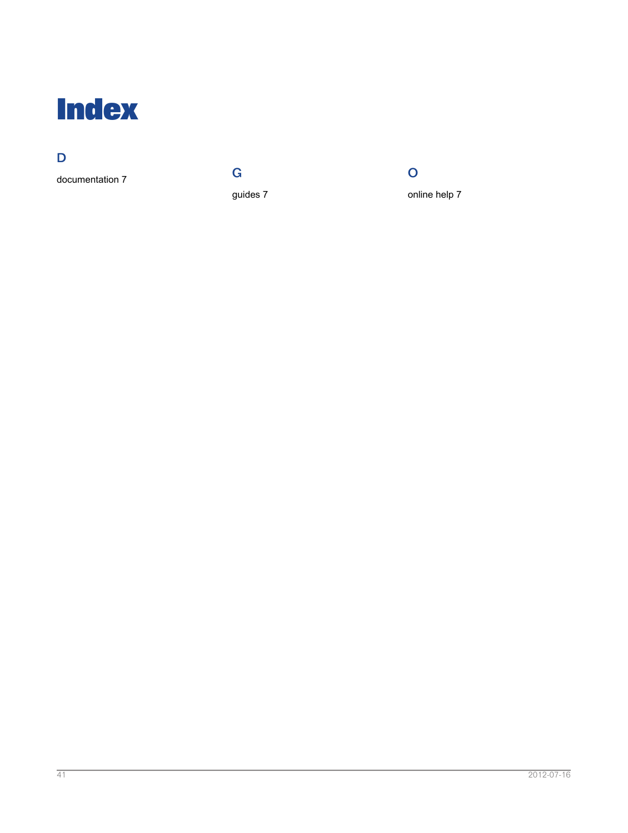<span id="page-40-0"></span>![](_page_40_Picture_0.jpeg)

## D

documentation [7](#page-6-1)

G guides [7](#page-6-1)

![](_page_40_Picture_4.jpeg)

online help [7](#page-6-1)